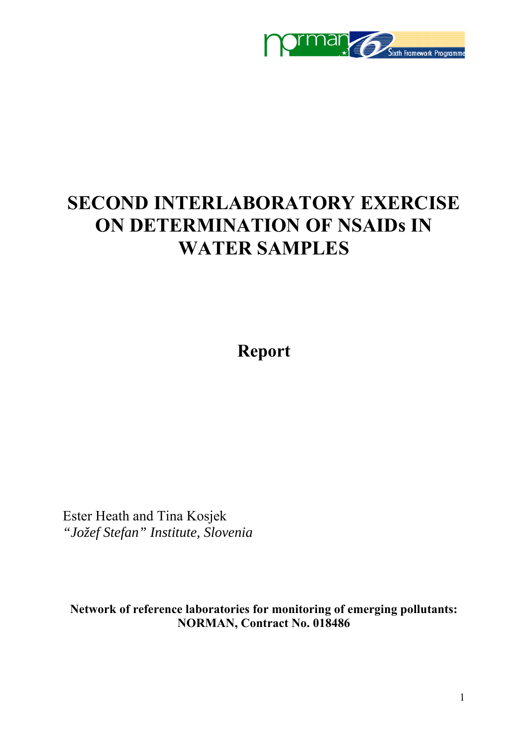

# **SECOND INTERLABORATORY EXERCISE ON DETERMINATION OF NSAIDs IN WATER SAMPLES**

**Report** 

Ester Heath and Tina Kosjek *"Jožef Stefan" Institute, Slovenia* 

**Network of reference laboratories for monitoring of emerging pollutants: NORMAN, Contract No. 018486**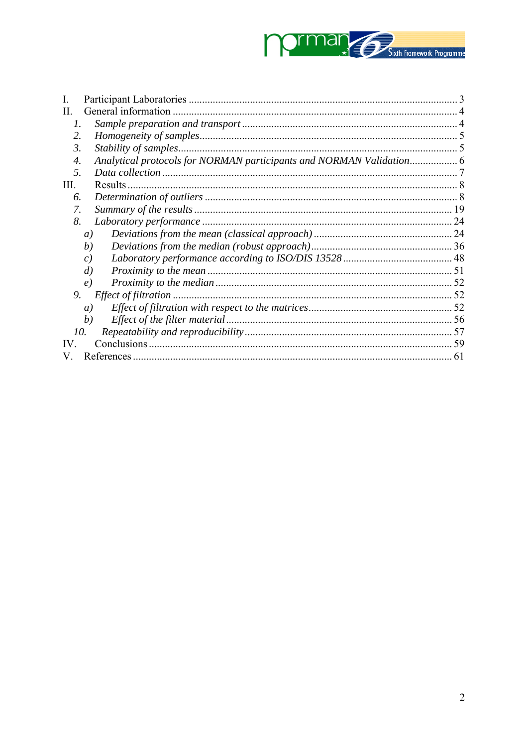

| H.               |                                                                      |  |
|------------------|----------------------------------------------------------------------|--|
| 1.               |                                                                      |  |
| 2.               |                                                                      |  |
| 3.               |                                                                      |  |
| $\overline{4}$ . | Analytical protocols for NORMAN participants and NORMAN Validation 6 |  |
| 5.               |                                                                      |  |
| Ш.               | Results                                                              |  |
| 6.               |                                                                      |  |
| 7.               |                                                                      |  |
| 8.               |                                                                      |  |
|                  | $\left( a\right)$                                                    |  |
|                  | (b)                                                                  |  |
|                  | c)                                                                   |  |
|                  | $\left( d\right)$                                                    |  |
|                  | $\epsilon$ )                                                         |  |
| 9.               |                                                                      |  |
|                  | a)                                                                   |  |
|                  | b)                                                                   |  |
|                  | 10.                                                                  |  |
| IV               |                                                                      |  |
|                  |                                                                      |  |
|                  |                                                                      |  |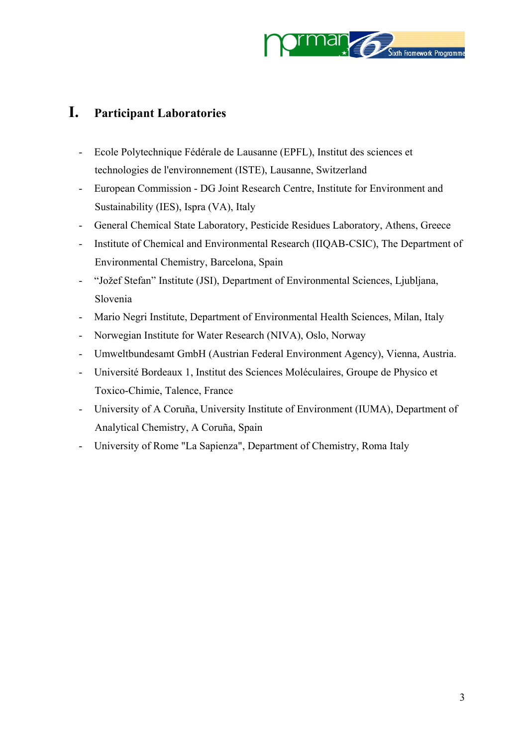

## <span id="page-2-0"></span>**I. Participant Laboratories**

- Ecole Polytechnique Fédérale de Lausanne (EPFL), Institut des sciences et technologies de l'environnement (ISTE), Lausanne, Switzerland
- European Commission DG Joint Research Centre, Institute for Environment and Sustainability (IES), Ispra (VA), Italy
- General Chemical State Laboratory, Pesticide Residues Laboratory, Athens, Greece
- Institute of Chemical and Environmental Research (IIQAB-CSIC), The Department of Environmental Chemistry, Barcelona, Spain
- "Jožef Stefan" Institute (JSI), Department of Environmental Sciences, Ljubljana, Slovenia
- Mario Negri Institute, Department of Environmental Health Sciences, Milan, Italy
- Norwegian Institute for Water Research (NIVA), Oslo, Norway
- Umweltbundesamt GmbH (Austrian Federal Environment Agency), Vienna, Austria.
- Université Bordeaux 1, Institut des Sciences Moléculaires, Groupe de Physico et Toxico-Chimie, Talence, France
- University of A Coruña, University Institute of Environment (IUMA), Department of Analytical Chemistry, A Coruña, Spain
- University of Rome "La Sapienza", Department of Chemistry, Roma Italy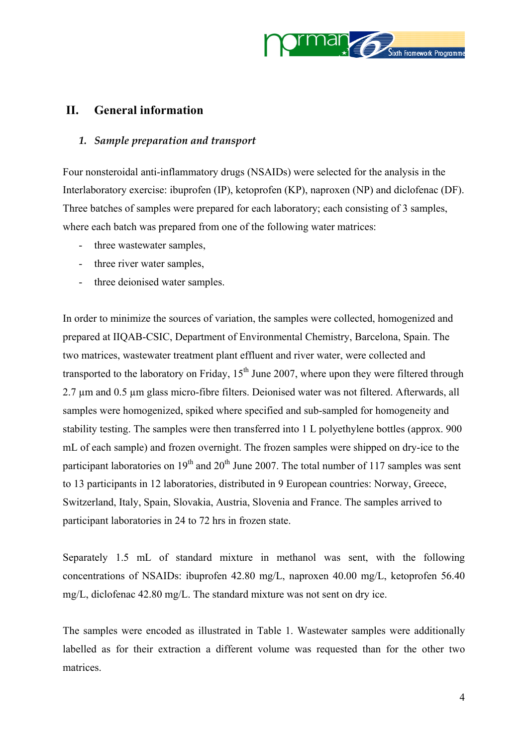

## <span id="page-3-0"></span>**II. General information**

#### *1. Sample preparation and transport*

Four nonsteroidal anti-inflammatory drugs (NSAIDs) were selected for the analysis in the Interlaboratory exercise: ibuprofen (IP), ketoprofen (KP), naproxen (NP) and diclofenac (DF). Three batches of samples were prepared for each laboratory; each consisting of 3 samples, where each batch was prepared from one of the following water matrices:

- three wastewater samples,
- three river water samples,
- three deionised water samples.

In order to minimize the sources of variation, the samples were collected, homogenized and prepared at IIQAB-CSIC, Department of Environmental Chemistry, Barcelona, Spain. The two matrices, wastewater treatment plant effluent and river water, were collected and transported to the laboratory on Friday,  $15<sup>th</sup>$  June 2007, where upon they were filtered through 2.7 µm and 0.5 µm glass micro-fibre filters. Deionised water was not filtered. Afterwards, all samples were homogenized, spiked where specified and sub-sampled for homogeneity and stability testing. The samples were then transferred into 1 L polyethylene bottles (approx. 900 mL of each sample) and frozen overnight. The frozen samples were shipped on dry-ice to the participant laboratories on  $19<sup>th</sup>$  and  $20<sup>th</sup>$  June 2007. The total number of 117 samples was sent to 13 participants in 12 laboratories, distributed in 9 European countries: Norway, Greece, Switzerland, Italy, Spain, Slovakia, Austria, Slovenia and France. The samples arrived to participant laboratories in 24 to 72 hrs in frozen state.

Separately 1.5 mL of standard mixture in methanol was sent, with the following concentrations of NSAIDs: ibuprofen 42.80 mg/L, naproxen 40.00 mg/L, ketoprofen 56.40 mg/L, diclofenac 42.80 mg/L. The standard mixture was not sent on dry ice.

The samples were encoded as illustrated in [Table 1.](#page-4-0) Wastewater samples were additionally labelled as for their extraction a different volume was requested than for the other two matrices.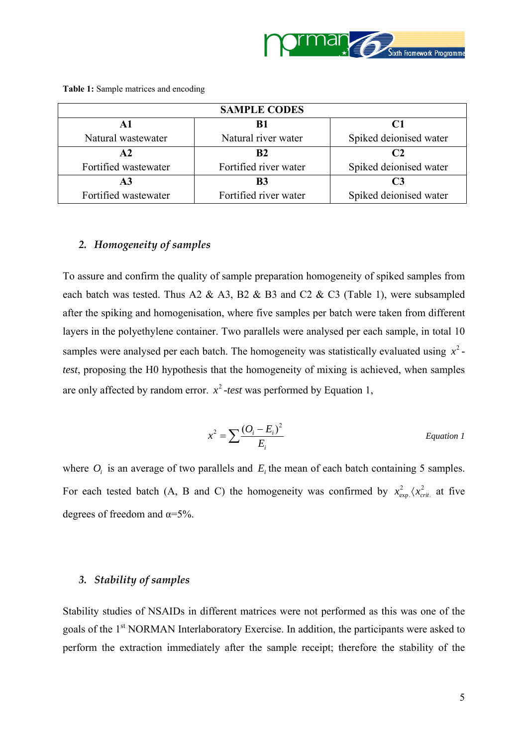

|                      | <b>SAMPLE CODES</b>   |                        |
|----------------------|-----------------------|------------------------|
| A1                   | B1                    | $\mathbf{C}$ 1         |
| Natural wastewater   | Natural river water   | Spiked deionised water |
| $\mathbf{A2}$        | R <sub>2</sub>        | C <sub>2</sub>         |
| Fortified wastewater | Fortified river water | Spiked deionised water |
| A3                   | B3                    | C <sub>3</sub>         |
| Fortified wastewater | Fortified river water | Spiked deionised water |

<span id="page-4-0"></span>**Table 1:** Sample matrices and encoding

#### *2. Homogeneity of samples*

To assure and confirm the quality of sample preparation homogeneity of spiked samples from each batch was tested. Thus A2 & A3, B2 & B3 and C2 & C3 (Table 1), were subsampled after the spiking and homogenisation, where five samples per batch were taken from different layers in the polyethylene container. Two parallels were analysed per each sample, in total 10 samples were analysed per each batch. The homogeneity was statistically evaluated using  $x^2$ *test*, proposing the H0 hypothesis that the homogeneity of mixing is achieved, when samples are only affected by random error.  $x^2$ -test was performed by Equation 1,

$$
x^2 = \sum \frac{(O_i - E_i)^2}{E_i}
$$
 *Equation 1*

where  $O_i$  is an average of two parallels and  $E_i$  the mean of each batch containing 5 samples. For each tested batch (A, B and C) the homogeneity was confirmed by  $x_{\text{exp}}^2/\langle x_{\text{crit}}^2 \rangle$  $x_{\text{exp}}^2 \langle x_{\text{crit}}^2 \rangle$  at five degrees of freedom and  $\alpha = 5\%$ .

#### *3. Stability of samples*

Stability studies of NSAIDs in different matrices were not performed as this was one of the goals of the 1<sup>st</sup> NORMAN Interlaboratory Exercise. In addition, the participants were asked to perform the extraction immediately after the sample receipt; therefore the stability of the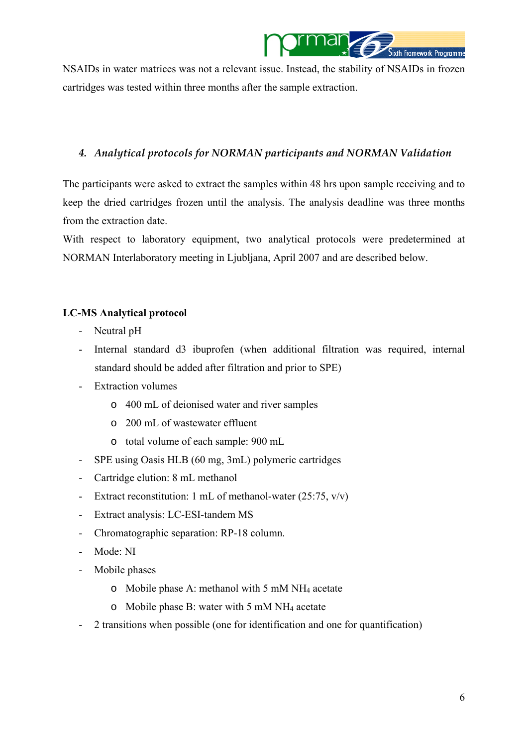

<span id="page-5-0"></span>NSAIDs in water matrices was not a relevant issue. Instead, the stability of NSAIDs in frozen cartridges was tested within three months after the sample extraction.

## *4. Analytical protocols for NORMAN participants and NORMAN Validation*

The participants were asked to extract the samples within 48 hrs upon sample receiving and to keep the dried cartridges frozen until the analysis. The analysis deadline was three months from the extraction date.

With respect to laboratory equipment, two analytical protocols were predetermined at NORMAN Interlaboratory meeting in Ljubljana, April 2007 and are described below.

## **LC-MS Analytical protocol**

- Neutral pH
- Internal standard d3 ibuprofen (when additional filtration was required, internal standard should be added after filtration and prior to SPE)
- Extraction volumes
	- o 400 mL of deionised water and river samples
	- o 200 mL of wastewater effluent
	- o total volume of each sample: 900 mL
- SPE using Oasis HLB (60 mg, 3mL) polymeric cartridges
- Cartridge elution: 8 mL methanol
- Extract reconstitution: 1 mL of methanol-water (25:75, v/v)
- Extract analysis: LC-ESI-tandem MS
- Chromatographic separation: RP-18 column.
- Mode: NI
- Mobile phases
	- o Mobile phase A: methanol with 5 mM NH4 acetate
	- o Mobile phase B: water with 5 mM NH4 acetate
- 2 transitions when possible (one for identification and one for quantification)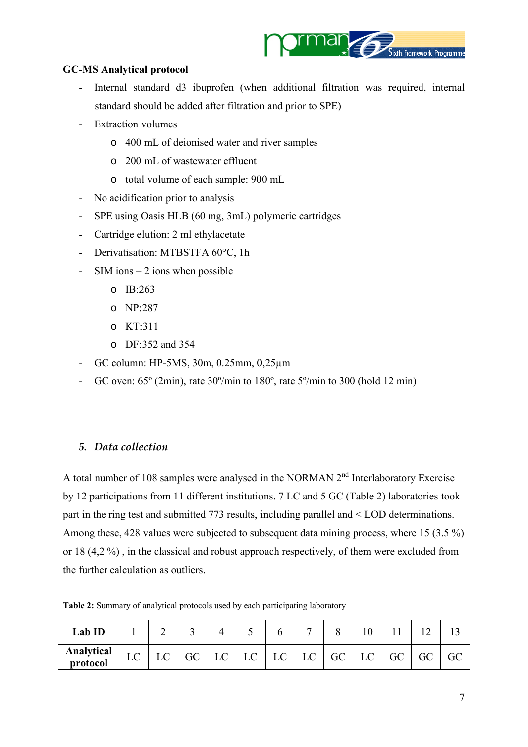

## <span id="page-6-0"></span>**GC-MS Analytical protocol**

- Internal standard d3 ibuprofen (when additional filtration was required, internal standard should be added after filtration and prior to SPE)
- Extraction volumes
	- o 400 mL of deionised water and river samples
	- o 200 mL of wastewater effluent
	- o total volume of each sample: 900 mL
- No acidification prior to analysis
- SPE using Oasis HLB (60 mg, 3mL) polymeric cartridges
- Cartridge elution: 2 ml ethylacetate
- Derivatisation: MTBSTFA 60°C, 1h
- SIM ions  $-2$  ions when possible
	- o IB:263
	- o NP:287
	- o KT:311
	- o DF:352 and 354
- GC column: HP-5MS, 30m, 0.25mm, 0,25µm
- GC oven:  $65^{\circ}$  (2min), rate  $30^{\circ}$ /min to  $180^{\circ}$ , rate  $5^{\circ}$ /min to  $300$  (hold  $12 \text{ min}$ )

#### *5. Data collection*

A total number of 108 samples were analysed in the NORMAN 2<sup>nd</sup> Interlaboratory Exercise by 12 participations from 11 different institutions. 7 LC and 5 GC [\(Table 2\)](#page-6-0) laboratories took part in the ring test and submitted 773 results, including parallel and < LOD determinations. Among these, 428 values were subjected to subsequent data mining process, where 15 (3.5 %) or 18 (4,2 %) , in the classical and robust approach respectively, of them were excluded from the further calculation as outliers.

**Table 2:** Summary of analytical protocols used by each participating laboratory

| Lab ID                 |    | ↩          |    |    |    |    |    |    |    |    |  |
|------------------------|----|------------|----|----|----|----|----|----|----|----|--|
| Analytical<br>protocol | LU | $\sqrt{ }$ | GC | LC | LC | LC | LC | GC | LC | GC |  |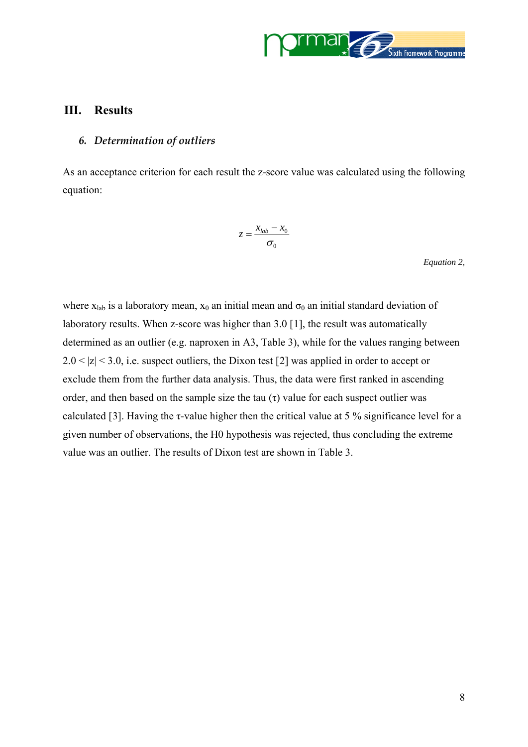

#### <span id="page-7-0"></span>**III. Results**

#### *6. Determination of outliers*

As an acceptance criterion for each result the z-score value was calculated using the following equation:

$$
z = \frac{x_{lab} - x_0}{\sigma_0}
$$

*Equation 2,*

where  $x_{lab}$  is a laboratory mean,  $x_0$  an initial mean and  $\sigma_0$  an initial standard deviation of laboratory results. When z-score was higher than 3.0 [[1](#page-60-0)], the result was automatically determined as an outlier (e.g. naproxen in A3, Table 3), while for the values ranging between  $2.0 < |z| < 3.0$  $2.0 < |z| < 3.0$ , i.e. suspect outliers, the Dixon test [2] was applied in order to accept or exclude them from the further data analysis. Thus, the data were first ranked in ascending order, and then based on the sample size the tau  $(\tau)$  value for each suspect outlier was calculated [[3](#page-60-1)]. Having the  $\tau$ -value higher then the critical value at 5 % significance level for a given number of observations, the H0 hypothesis was rejected, thus concluding the extreme value was an outlier. The results of Dixon test are shown in Table 3.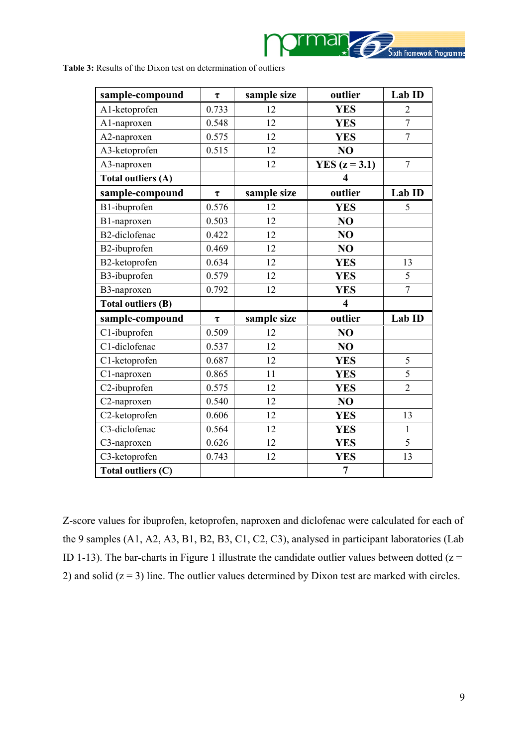

**Table 3:** Results of the Dixon test on determination of outliers

| sample-compound           | $\tau$       | sample size | outlier                 | Lab ID         |
|---------------------------|--------------|-------------|-------------------------|----------------|
| A1-ketoprofen             | 0.733        | 12          | <b>YES</b>              | $\overline{2}$ |
| A1-naproxen               | 0.548        | 12          | <b>YES</b>              | $\overline{7}$ |
| A2-naproxen               | 0.575        | 12          | <b>YES</b>              | $\overline{7}$ |
| A3-ketoprofen             | 0.515        | 12          | N <sub>O</sub>          |                |
| A3-naproxen               |              | 12          | YES $(z = 3.1)$         | $\overline{7}$ |
| Total outliers (A)        |              |             | $\overline{\mathbf{4}}$ |                |
| sample-compound           | $\pmb{\tau}$ | sample size | outlier                 | Lab ID         |
| B1-ibuprofen              | 0.576        | 12          | <b>YES</b>              | 5              |
| B1-naproxen               | 0.503        | 12          | N <sub>O</sub>          |                |
| B2-diclofenac             | 0.422        | 12          | NO                      |                |
| B2-ibuprofen              | 0.469        | 12          | NO                      |                |
| B2-ketoprofen             | 0.634        | 12          | <b>YES</b>              | 13             |
| B3-ibuprofen              | 0.579        | 12          | <b>YES</b>              | 5              |
| B3-naproxen               | 0.792        | 12          | <b>YES</b>              | $\overline{7}$ |
| <b>Total outliers (B)</b> |              |             | $\overline{\mathbf{4}}$ |                |
| sample-compound           | $\tau$       | sample size | outlier                 | Lab ID         |
| C1-ibuprofen              | 0.509        | 12          | N <sub>O</sub>          |                |
| C1-diclofenac             | 0.537        | 12          | NO                      |                |
| C1-ketoprofen             | 0.687        | 12          | <b>YES</b>              | 5              |
| C1-naproxen               | 0.865        | 11          | <b>YES</b>              | 5              |
| C2-ibuprofen              | 0.575        | 12          | <b>YES</b>              | $\overline{2}$ |
| C2-naproxen               | 0.540        | 12          | NO                      |                |
| C2-ketoprofen             | 0.606        | 12          | <b>YES</b>              | 13             |
| C3-diclofenac             | 0.564        | 12          | <b>YES</b>              | $\mathbf{1}$   |
| C3-naproxen               | 0.626        | 12          | <b>YES</b>              | $\overline{5}$ |
| C3-ketoprofen             | 0.743        | 12          | <b>YES</b>              | 13             |
| Total outliers (C)        |              |             | $\overline{7}$          |                |

Z-score values for ibuprofen, ketoprofen, naproxen and diclofenac were calculated for each of the 9 samples (A1, A2, A3, B1, B2, B3, C1, C2, C3), analysed in participant laboratories (Lab ID 1-13). The bar-charts in Figure 1 illustrate the candidate outlier values between dotted  $(z =$ 2) and solid  $(z = 3)$  line. The outlier values determined by Dixon test are marked with circles.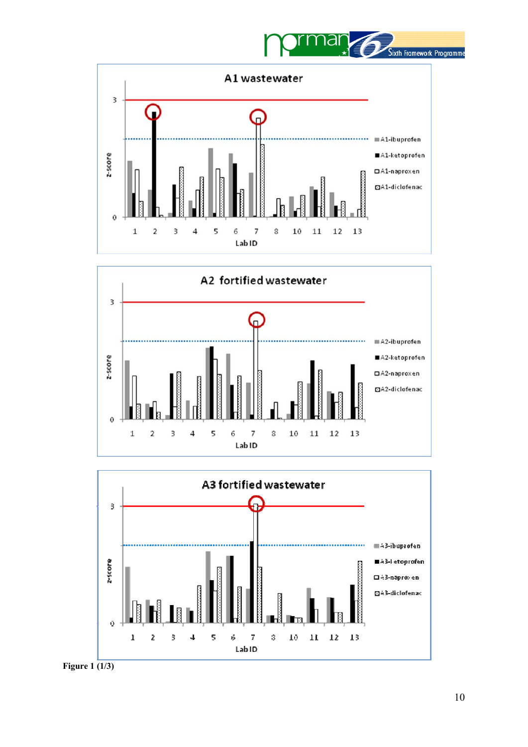







**Figure 1 (1/3)**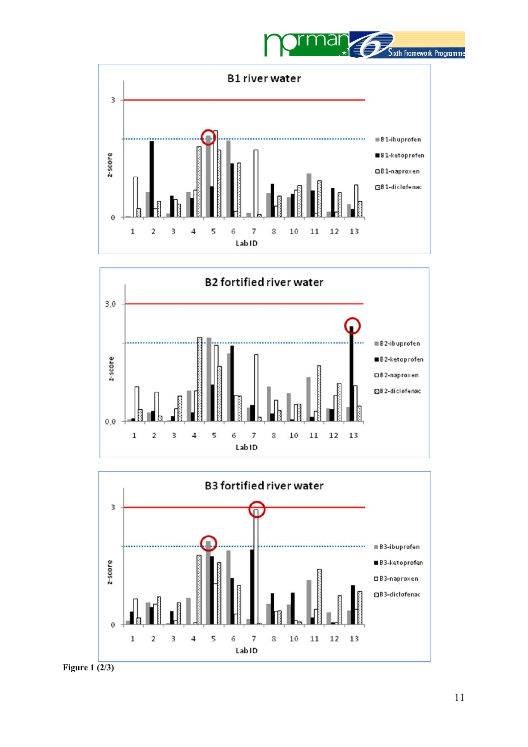







**Figure 1 (2/3)**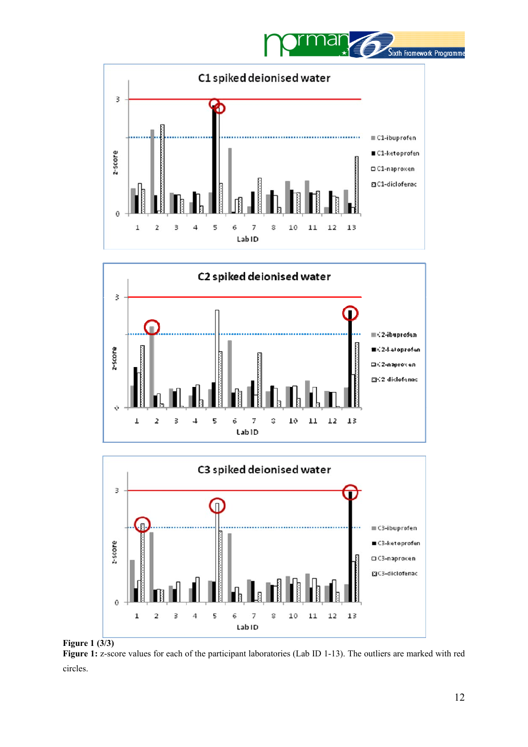







**Figure 1 (3/3) Figure 1:** z-score values for each of the participant laboratories (Lab ID 1-13). The outliers are marked with red circles.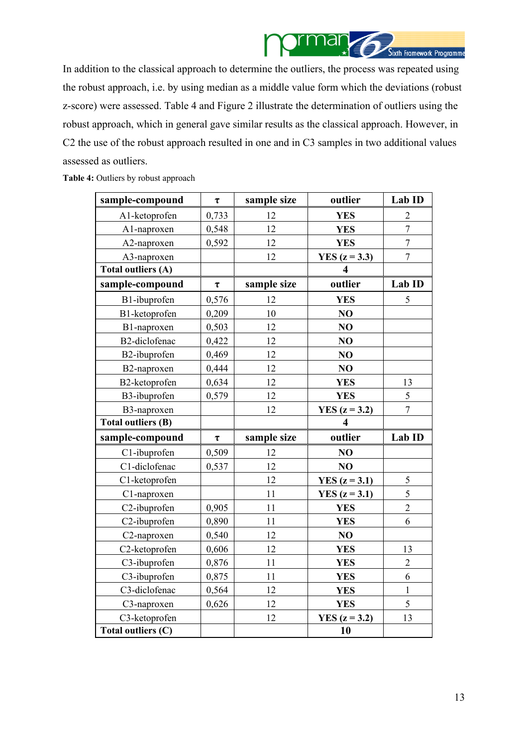

In addition to the classical approach to determine the outliers, the process was repeated using the robust approach, i.e. by using median as a middle value form which the deviations (robust z-score) were assessed. Table 4 and Figure 2 illustrate the determination of outliers using the robust approach, which in general gave similar results as the classical approach. However, in C2 the use of the robust approach resulted in one and in C3 samples in two additional values assessed as outliers.

#### Table 4: Outliers by robust approach

| sample-compound           | $\pmb{\tau}$ | sample size | outlier                 | Lab ID           |
|---------------------------|--------------|-------------|-------------------------|------------------|
| A1-ketoprofen             | 0,733        | 12          | <b>YES</b>              | $\overline{2}$   |
| A1-naproxen               | 0,548        | 12          | <b>YES</b>              | $\boldsymbol{7}$ |
| A2-naproxen               | 0,592        | 12          | <b>YES</b>              | $\overline{7}$   |
| A3-naproxen               |              | 12          | YES $(z = 3.3)$         | $\sqrt{ }$       |
| <b>Total outliers (A)</b> |              |             | 4                       |                  |
| sample-compound           | $\tau$       | sample size | outlier                 | Lab ID           |
| B1-ibuprofen              | 0,576        | 12          | <b>YES</b>              | $\mathfrak s$    |
| B1-ketoprofen             | 0,209        | 10          | NO                      |                  |
| B1-naproxen               | 0,503        | 12          | NO                      |                  |
| B2-diclofenac             | 0,422        | 12          | NO                      |                  |
| B2-ibuprofen              | 0,469        | 12          | NO                      |                  |
| B2-naproxen               | 0,444        | 12          | NO                      |                  |
| B2-ketoprofen             | 0,634        | 12          | <b>YES</b>              | 13               |
| B3-ibuprofen              | 0,579        | 12          | <b>YES</b>              | 5                |
| B3-naproxen               |              | 12          | YES $(z = 3.2)$         | $\overline{7}$   |
| <b>Total outliers (B)</b> |              |             | $\overline{\mathbf{4}}$ |                  |
| sample-compound           | $\pmb{\tau}$ | sample size | outlier                 | Lab ID           |
| C1-ibuprofen              | 0,509        | 12          | NO                      |                  |
| C1-diclofenac             | 0,537        | 12          | NO                      |                  |
| C1-ketoprofen             |              | 12          | YES $(z = 3.1)$         | 5                |
| C1-naproxen               |              | 11          | YES $(z = 3.1)$         | 5                |
| C2-ibuprofen              | 0,905        | 11          | <b>YES</b>              | $\overline{2}$   |
| C2-ibuprofen              | 0,890        | 11          | <b>YES</b>              | 6                |
| C2-naproxen               | 0,540        | 12          | NO                      |                  |
| C2-ketoprofen             | 0,606        | 12          | <b>YES</b>              | 13               |
| C3-ibuprofen              | 0,876        | 11          | <b>YES</b>              | $\overline{2}$   |
| C3-ibuprofen              | 0,875        | 11          | <b>YES</b>              | 6                |
| C3-diclofenac             | 0,564        | 12          | <b>YES</b>              | $\mathbf{1}$     |
| C3-naproxen               | 0,626        | 12          | <b>YES</b>              | 5                |
|                           |              |             |                         |                  |
| C3-ketoprofen             |              | 12          | YES $(z = 3.2)$         | 13               |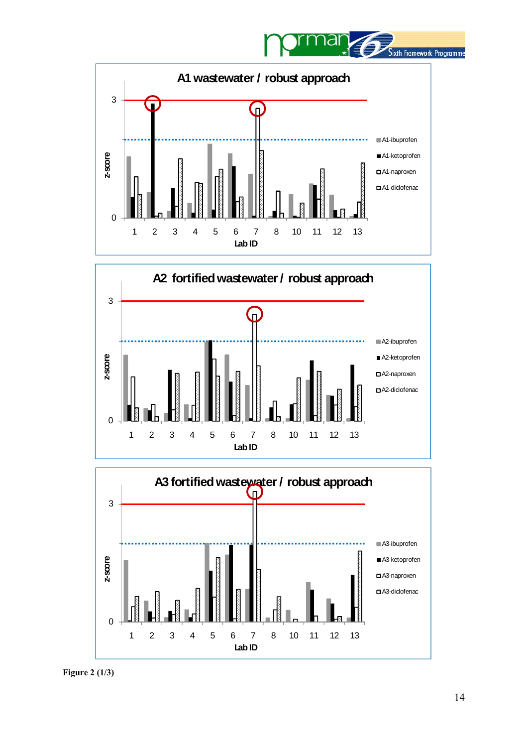







**Figure 2 (1/3)**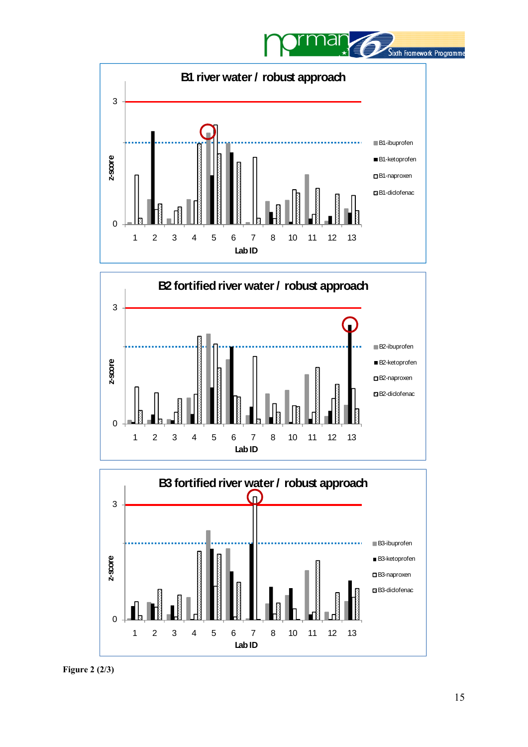







**Figure 2 (2/3)**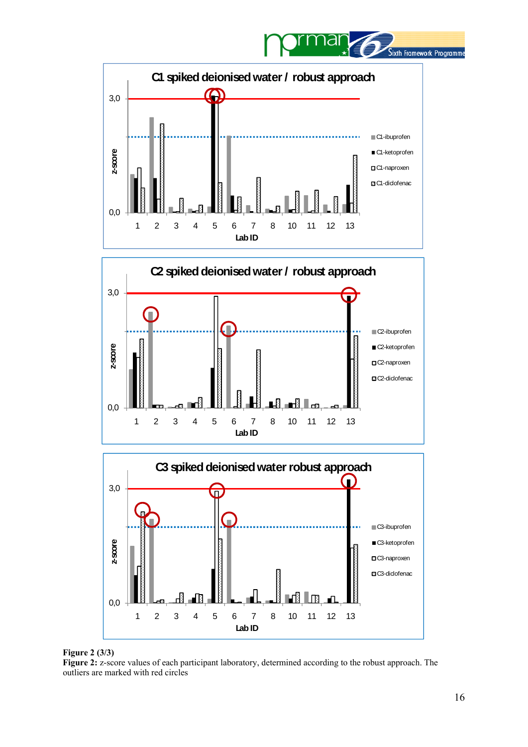







#### **Figure 2 (3/3)**

**Figure 2:** z-score values of each participant laboratory, determined according to the robust approach. The outliers are marked with red circles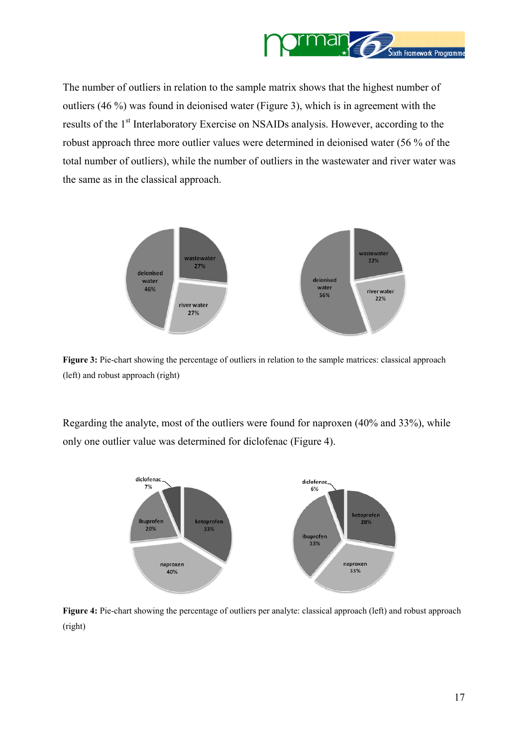

<span id="page-16-0"></span>The number of outliers in relation to the sample matrix shows that the highest number of outliers (46 %) was found in deionised water [\(Figure 3\)](#page-16-0), which is in agreement with the results of the 1<sup>st</sup> Interlaboratory Exercise on NSAIDs analysis. However, according to the robust approach three more outlier values were determined in deionised water (56 % of the total number of outliers), while the number of outliers in the wastewater and river water was the same as in the classical approach.



**Figure 3:** Pie-chart showing the percentage of outliers in relation to the sample matrices: classical approach (left) and robust approach (right)

Regarding the analyte, most of the outliers were found for naproxen (40% and 33%), while only one outlier value was determined for diclofenac [\(Figure 4\)](#page-16-0).



**Figure 4:** Pie-chart showing the percentage of outliers per analyte: classical approach (left) and robust approach (right)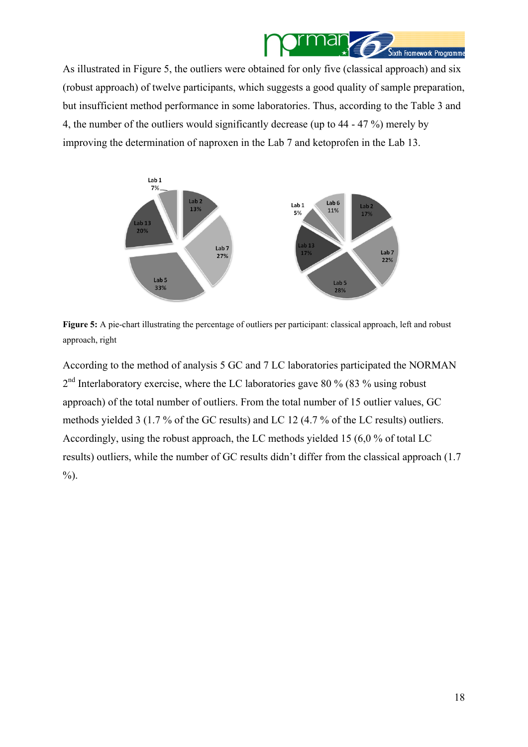

<span id="page-17-0"></span>As illustrated in [Figure 5,](#page-17-0) the outliers were obtained for only five (classical approach) and six (robust approach) of twelve participants, which suggests a good quality of sample preparation, but insufficient method performance in some laboratories. Thus, according to the Table 3 and 4, the number of the outliers would significantly decrease (up to 44 - 47 %) merely by improving the determination of naproxen in the Lab 7 and ketoprofen in the Lab 13.



**Figure 5:** A pie-chart illustrating the percentage of outliers per participant: classical approach, left and robust approach, right

According to the method of analysis 5 GC and 7 LC laboratories participated the NORMAN  $2<sup>nd</sup>$  Interlaboratory exercise, where the LC laboratories gave 80 % (83 % using robust approach) of the total number of outliers. From the total number of 15 outlier values, GC methods yielded 3 (1.7 % of the GC results) and LC 12 (4.7 % of the LC results) outliers. Accordingly, using the robust approach, the LC methods yielded 15 (6,0 % of total LC results) outliers, while the number of GC results didn't differ from the classical approach (1.7 %).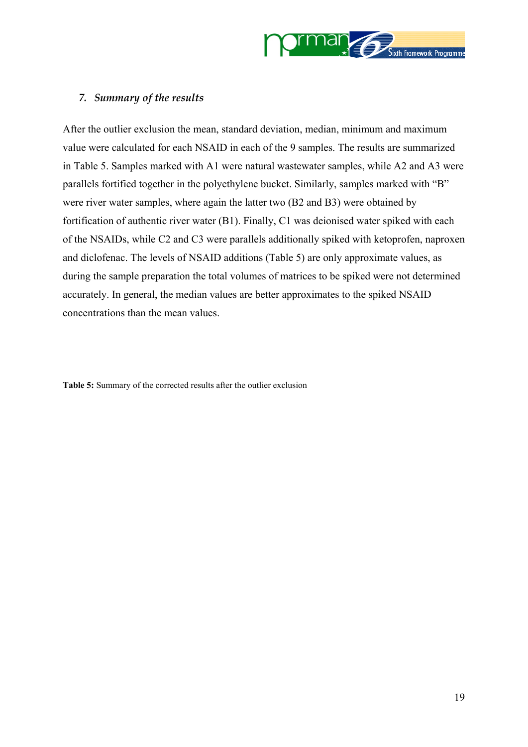

## <span id="page-18-0"></span>*7. Summary of the results*

After the outlier exclusion the mean, standard deviation, median, minimum and maximum value were calculated for each NSAID in each of the 9 samples. The results are summarized in [Table 5.](#page-18-0) Samples marked with A1 were natural wastewater samples, while A2 and A3 were parallels fortified together in the polyethylene bucket. Similarly, samples marked with "B" were river water samples, where again the latter two (B2 and B3) were obtained by fortification of authentic river water (B1). Finally, C1 was deionised water spiked with each of the NSAIDs, while C2 and C3 were parallels additionally spiked with ketoprofen, naproxen and diclofenac. The levels of NSAID additions [\(Table 5\)](#page-18-0) are only approximate values, as during the sample preparation the total volumes of matrices to be spiked were not determined accurately. In general, the median values are better approximates to the spiked NSAID concentrations than the mean values.

**Table 5:** Summary of the corrected results after the outlier exclusion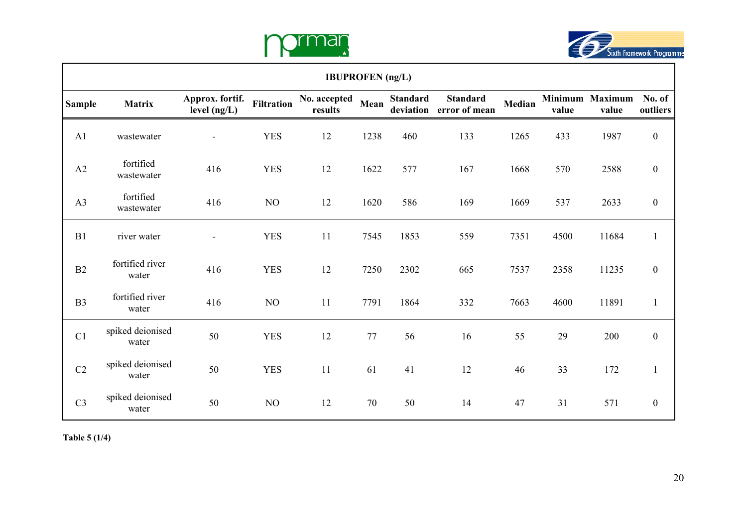



|                | <b>IBUPROFEN</b> (ng/L)   |                                 |                   |                         |      |                              |                                  |        |       |                          |                    |  |  |  |
|----------------|---------------------------|---------------------------------|-------------------|-------------------------|------|------------------------------|----------------------------------|--------|-------|--------------------------|--------------------|--|--|--|
| <b>Sample</b>  | <b>Matrix</b>             | Approx. fortif.<br>level (ng/L) | <b>Filtration</b> | No. accepted<br>results | Mean | <b>Standard</b><br>deviation | <b>Standard</b><br>error of mean | Median | value | Minimum Maximum<br>value | No. of<br>outliers |  |  |  |
| A <sub>1</sub> | wastewater                | $\blacksquare$                  | <b>YES</b>        | 12                      | 1238 | 460                          | 133                              | 1265   | 433   | 1987                     | $\boldsymbol{0}$   |  |  |  |
| A2             | fortified<br>wastewater   | 416                             | <b>YES</b>        | 12                      | 1622 | 577                          | 167                              | 1668   | 570   | 2588                     | $\boldsymbol{0}$   |  |  |  |
| A3             | fortified<br>wastewater   | 416                             | NO                | 12                      | 1620 | 586                          | 169                              | 1669   | 537   | 2633                     | $\boldsymbol{0}$   |  |  |  |
| B1             | river water               | $\blacksquare$                  | <b>YES</b>        | 11                      | 7545 | 1853                         | 559                              | 7351   | 4500  | 11684                    | $\mathbf{1}$       |  |  |  |
| B2             | fortified river<br>water  | 416                             | <b>YES</b>        | 12                      | 7250 | 2302                         | 665                              | 7537   | 2358  | 11235                    | $\boldsymbol{0}$   |  |  |  |
| B <sub>3</sub> | fortified river<br>water  | 416                             | NO                | 11                      | 7791 | 1864                         | 332                              | 7663   | 4600  | 11891                    | $\mathbf{1}$       |  |  |  |
| C1             | spiked deionised<br>water | 50                              | <b>YES</b>        | 12                      | 77   | 56                           | 16                               | 55     | 29    | 200                      | $\mathbf{0}$       |  |  |  |
| C2             | spiked deionised<br>water | 50                              | <b>YES</b>        | 11                      | 61   | 41                           | 12                               | 46     | 33    | 172                      | $\mathbf{1}$       |  |  |  |
| C <sub>3</sub> | spiked deionised<br>water | 50                              | NO                | 12                      | 70   | 50                           | 14                               | 47     | 31    | 571                      | $\mathbf{0}$       |  |  |  |

**Table 5 (1/4)**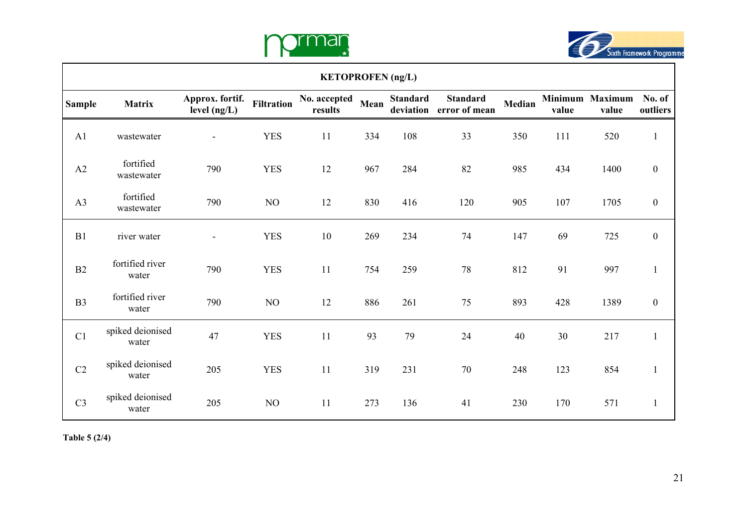



|                | <b>KETOPROFEN</b> (ng/L)  |                                 |                   |                                |      |                              |                                  |        |       |                                 |                    |  |  |  |
|----------------|---------------------------|---------------------------------|-------------------|--------------------------------|------|------------------------------|----------------------------------|--------|-------|---------------------------------|--------------------|--|--|--|
| <b>Sample</b>  | <b>Matrix</b>             | Approx. fortif.<br>level (ng/L) | <b>Filtration</b> | <b>No. accepted</b><br>results | Mean | <b>Standard</b><br>deviation | <b>Standard</b><br>error of mean | Median | value | <b>Minimum Maximum</b><br>value | No. of<br>outliers |  |  |  |
| A <sub>1</sub> | wastewater                | $\overline{\phantom{a}}$        | <b>YES</b>        | 11                             | 334  | 108                          | 33                               | 350    | 111   | 520                             | $\mathbf{1}$       |  |  |  |
| A2             | fortified<br>wastewater   | 790                             | <b>YES</b>        | 12                             | 967  | 284                          | 82                               | 985    | 434   | 1400                            | $\boldsymbol{0}$   |  |  |  |
| A3             | fortified<br>wastewater   | 790                             | NO                | 12                             | 830  | 416                          | 120                              | 905    | 107   | 1705                            | $\boldsymbol{0}$   |  |  |  |
| B1             | river water               | $\blacksquare$                  | <b>YES</b>        | 10                             | 269  | 234                          | 74                               | 147    | 69    | 725                             | $\boldsymbol{0}$   |  |  |  |
| B2             | fortified river<br>water  | 790                             | <b>YES</b>        | 11                             | 754  | 259                          | 78                               | 812    | 91    | 997                             | $\mathbf{1}$       |  |  |  |
| B <sub>3</sub> | fortified river<br>water  | 790                             | NO                | 12                             | 886  | 261                          | 75                               | 893    | 428   | 1389                            | $\boldsymbol{0}$   |  |  |  |
| C1             | spiked deionised<br>water | 47                              | <b>YES</b>        | 11                             | 93   | 79                           | 24                               | 40     | 30    | 217                             | $\mathbf{1}$       |  |  |  |
| C2             | spiked deionised<br>water | 205                             | <b>YES</b>        | 11                             | 319  | 231                          | 70                               | 248    | 123   | 854                             | $\mathbf{1}$       |  |  |  |
| C <sub>3</sub> | spiked deionised<br>water | 205                             | NO                | 11                             | 273  | 136                          | 41                               | 230    | 170   | 571                             | $\mathbf{1}$       |  |  |  |

**Table 5 (2/4)** 

 $\mathsf{r}$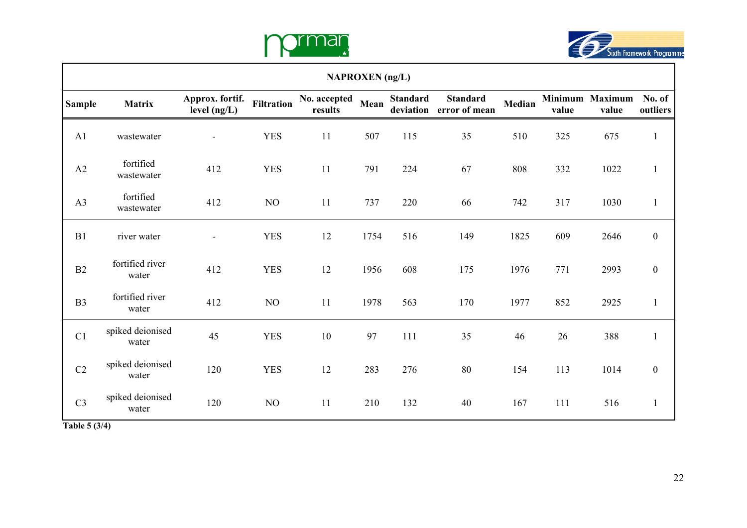



| <b>NAPROXEN</b> (ng/L) |                           |                                   |                   |                         |      |                              |                                  |        |       |                          |                    |  |  |
|------------------------|---------------------------|-----------------------------------|-------------------|-------------------------|------|------------------------------|----------------------------------|--------|-------|--------------------------|--------------------|--|--|
| <b>Sample</b>          | Matrix                    | Approx. fortif.<br>level $(ng/L)$ | <b>Filtration</b> | No. accepted<br>results | Mean | <b>Standard</b><br>deviation | <b>Standard</b><br>error of mean | Median | value | Minimum Maximum<br>value | No. of<br>outliers |  |  |
| A1                     | wastewater                | $\overline{a}$                    | <b>YES</b>        | 11                      | 507  | 115                          | 35                               | 510    | 325   | 675                      | $\mathbf{1}$       |  |  |
| A2                     | fortified<br>wastewater   | 412                               | <b>YES</b>        | 11                      | 791  | 224                          | 67                               | 808    | 332   | 1022                     | $\mathbf{1}$       |  |  |
| A3                     | fortified<br>wastewater   | 412                               | NO                | 11                      | 737  | 220                          | 66                               | 742    | 317   | 1030                     | $\mathbf{1}$       |  |  |
| B1                     | river water               | $\overline{\phantom{m}}$          | <b>YES</b>        | 12                      | 1754 | 516                          | 149                              | 1825   | 609   | 2646                     | $\boldsymbol{0}$   |  |  |
| B2                     | fortified river<br>water  | 412                               | <b>YES</b>        | 12                      | 1956 | 608                          | 175                              | 1976   | 771   | 2993                     | $\boldsymbol{0}$   |  |  |
| B <sub>3</sub>         | fortified river<br>water  | 412                               | NO                | 11                      | 1978 | 563                          | 170                              | 1977   | 852   | 2925                     | $\mathbf{1}$       |  |  |
| C1                     | spiked deionised<br>water | 45                                | <b>YES</b>        | $10\,$                  | 97   | 111                          | 35                               | 46     | 26    | 388                      | $\mathbf{1}$       |  |  |
| C2                     | spiked deionised<br>water | 120                               | <b>YES</b>        | 12                      | 283  | 276                          | 80                               | 154    | 113   | 1014                     | $\boldsymbol{0}$   |  |  |
| C <sub>3</sub>         | spiked deionised<br>water | 120                               | NO                | 11                      | 210  | 132                          | 40                               | 167    | 111   | 516                      | $\mathbf{1}$       |  |  |
| Table 5 (3/4)          |                           |                                   |                   |                         |      |                              |                                  |        |       |                          |                    |  |  |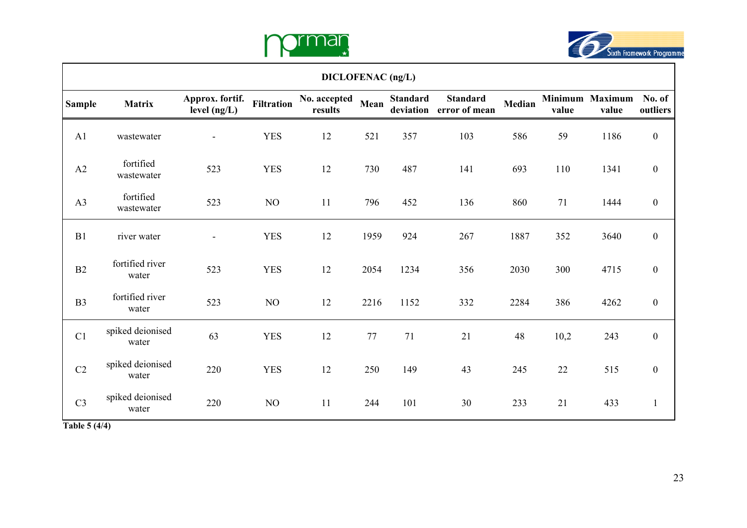



|                | DICLOFENAC (ng/L)         |                                 |                   |                                |      |                 |                                            |        |       |                          |                    |  |  |  |
|----------------|---------------------------|---------------------------------|-------------------|--------------------------------|------|-----------------|--------------------------------------------|--------|-------|--------------------------|--------------------|--|--|--|
| <b>Sample</b>  | <b>Matrix</b>             | Approx. fortif.<br>level (ng/L) | <b>Filtration</b> | <b>No. accepted</b><br>results | Mean | <b>Standard</b> | <b>Standard</b><br>deviation error of mean | Median | value | Minimum Maximum<br>value | No. of<br>outliers |  |  |  |
| A <sub>1</sub> | wastewater                | $\overline{\phantom{a}}$        | <b>YES</b>        | 12                             | 521  | 357             | 103                                        | 586    | 59    | 1186                     | $\boldsymbol{0}$   |  |  |  |
| A2             | fortified<br>wastewater   | 523                             | <b>YES</b>        | 12                             | 730  | 487             | 141                                        | 693    | 110   | 1341                     | $\boldsymbol{0}$   |  |  |  |
| A3             | fortified<br>wastewater   | 523                             | NO                | 11                             | 796  | 452             | 136                                        | 860    | 71    | 1444                     | $\boldsymbol{0}$   |  |  |  |
| B1             | river water               | $\blacksquare$                  | <b>YES</b>        | 12                             | 1959 | 924             | 267                                        | 1887   | 352   | 3640                     | $\boldsymbol{0}$   |  |  |  |
| B2             | fortified river<br>water  | 523                             | <b>YES</b>        | 12                             | 2054 | 1234            | 356                                        | 2030   | 300   | 4715                     | $\boldsymbol{0}$   |  |  |  |
| B <sub>3</sub> | fortified river<br>water  | 523                             | NO                | 12                             | 2216 | 1152            | 332                                        | 2284   | 386   | 4262                     | $\boldsymbol{0}$   |  |  |  |
| C1             | spiked deionised<br>water | 63                              | <b>YES</b>        | 12                             | 77   | 71              | 21                                         | 48     | 10,2  | 243                      | $\boldsymbol{0}$   |  |  |  |
| $\rm{C2}$      | spiked deionised<br>water | 220                             | <b>YES</b>        | 12                             | 250  | 149             | 43                                         | 245    | 22    | 515                      | $\boldsymbol{0}$   |  |  |  |
| C <sub>3</sub> | spiked deionised<br>water | 220                             | NO                | 11                             | 244  | 101             | 30                                         | 233    | 21    | 433                      | $\mathbf{1}$       |  |  |  |
| Table 5 (4/4)  |                           |                                 |                   |                                |      |                 |                                            |        |       |                          |                    |  |  |  |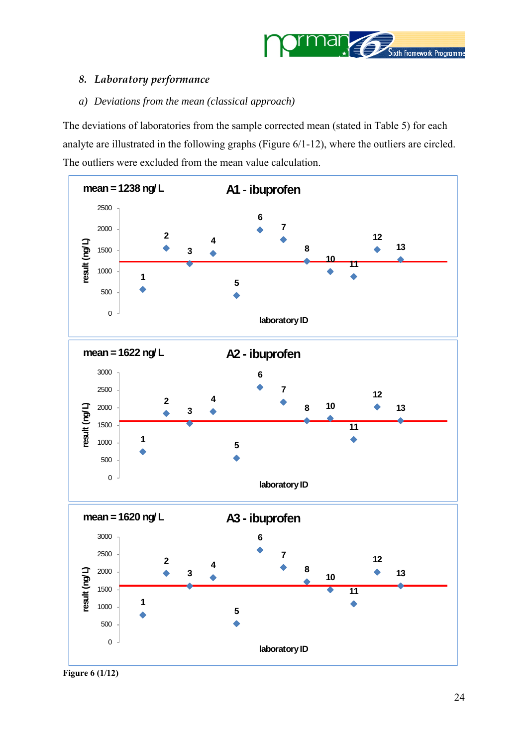

## <span id="page-23-0"></span>*8. Laboratory performance*

#### *a) Deviations from the mean (classical approach)*

The deviations of laboratories from the sample corrected mean (stated in [Table 5\)](#page-18-0) for each analyte are illustrated in the following graphs (Figure 6/1-12), where the outliers are circled. The outliers were excluded from the mean value calculation.



**Figure 6 (1/12)**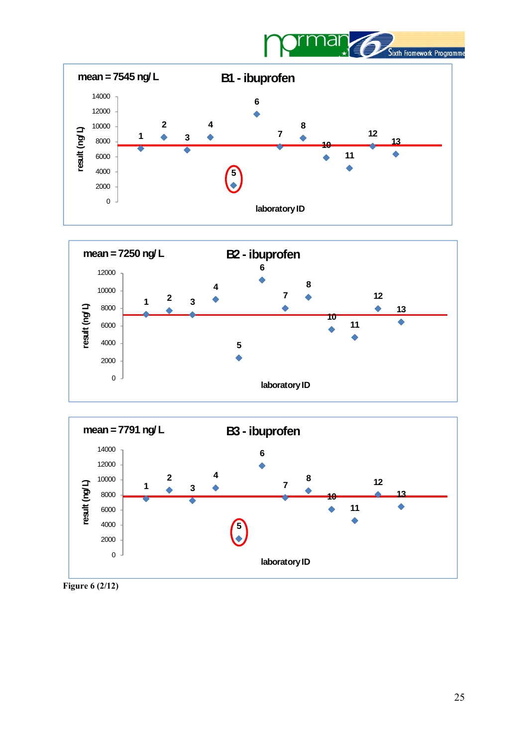







**Figure 6 (2/12)**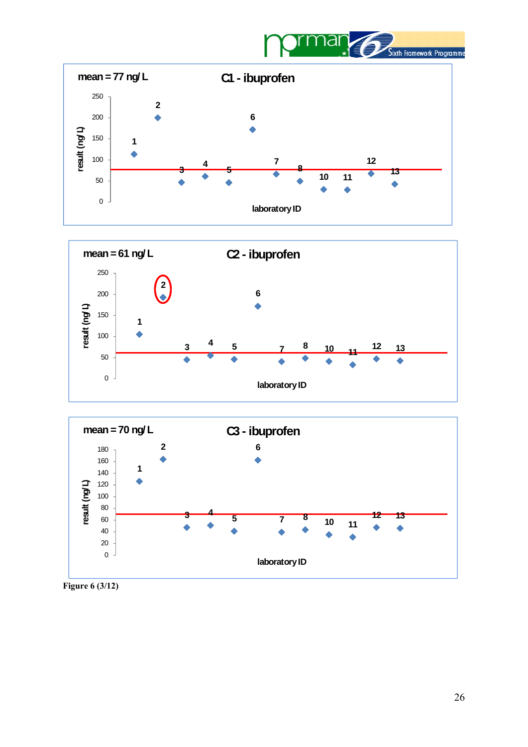







**Figure 6 (3/12)**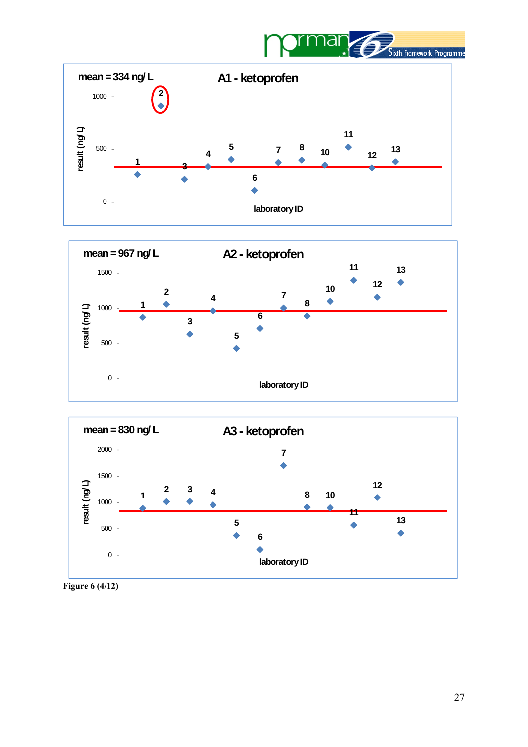







**Figure 6 (4/12)**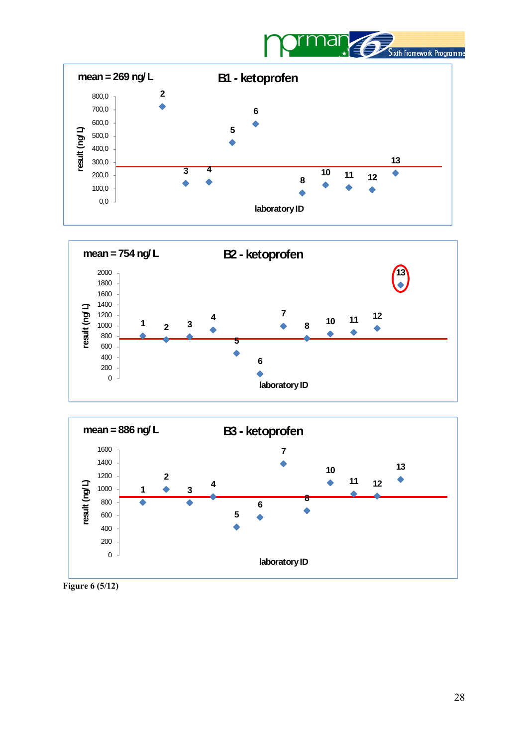







**Figure 6 (5/12)**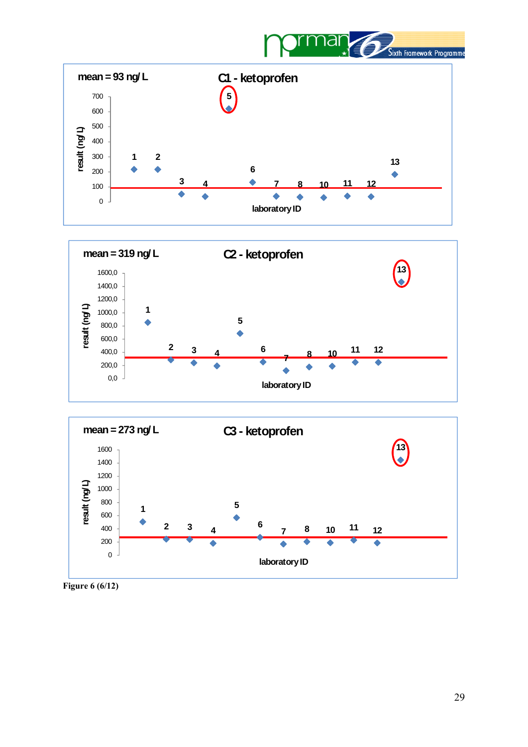







**Figure 6 (6/12)**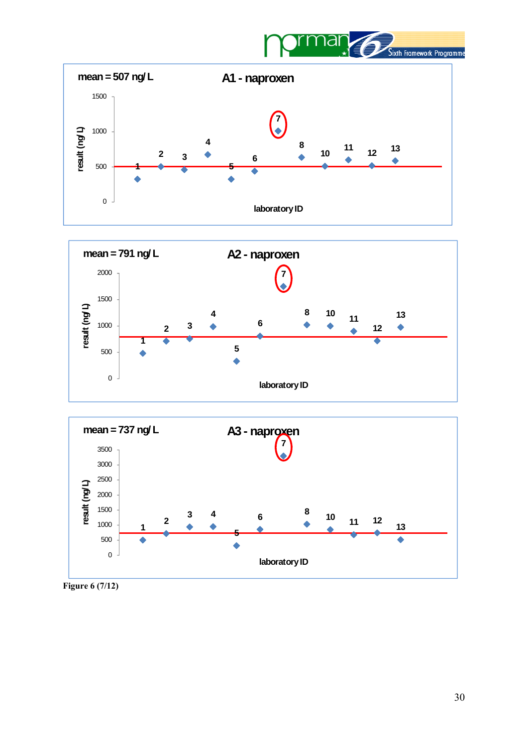







**Figure 6 (7/12)**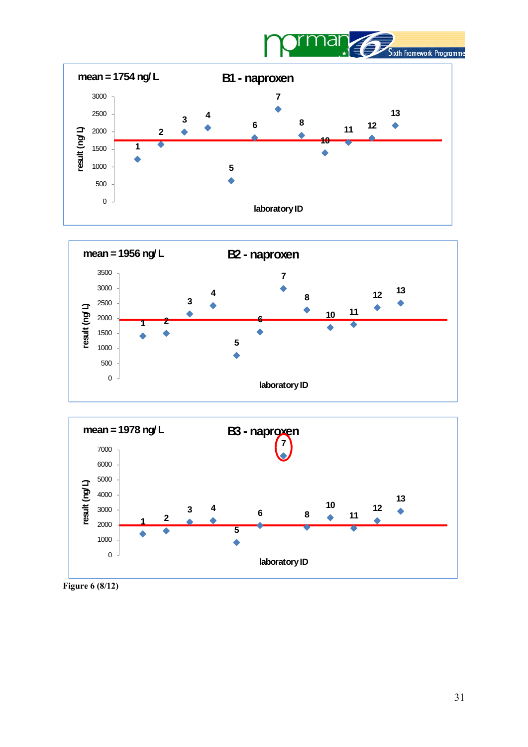







**Figure 6 (8/12)**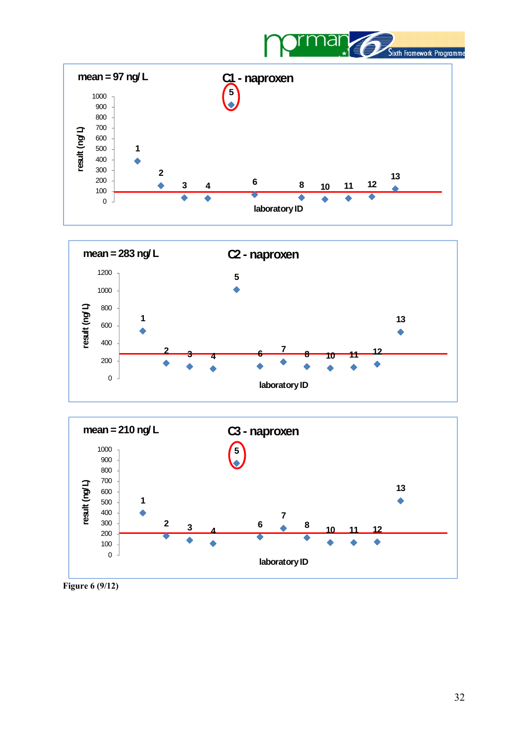







**Figure 6 (9/12)**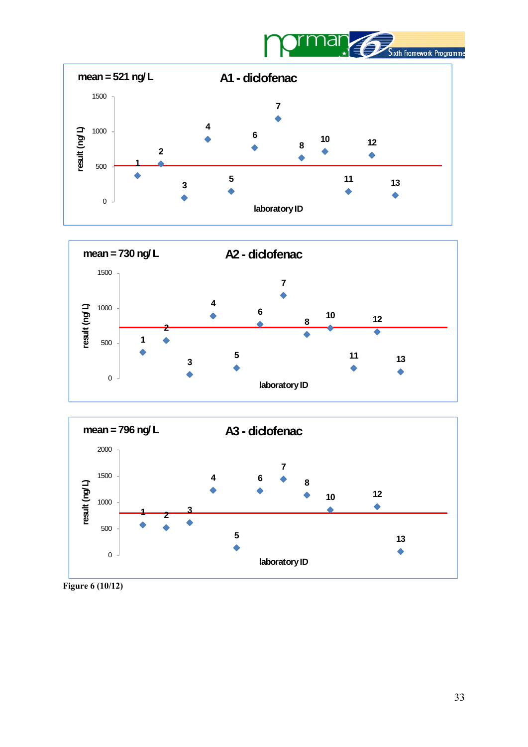







**Figure 6 (10/12)**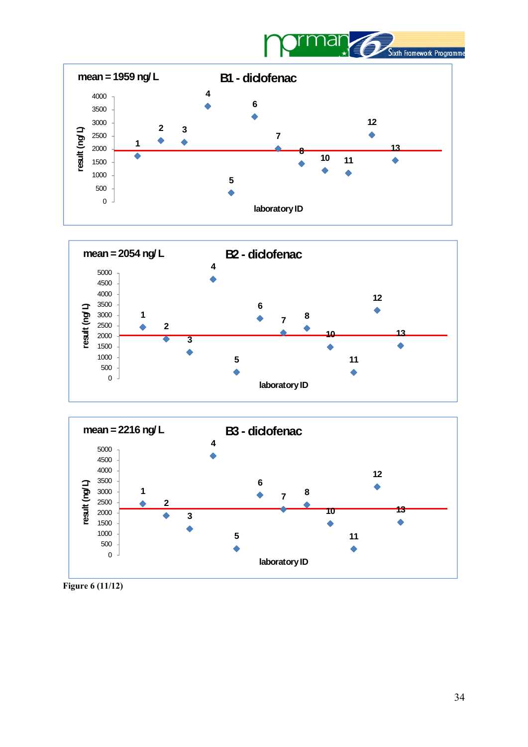







**Figure 6 (11/12)**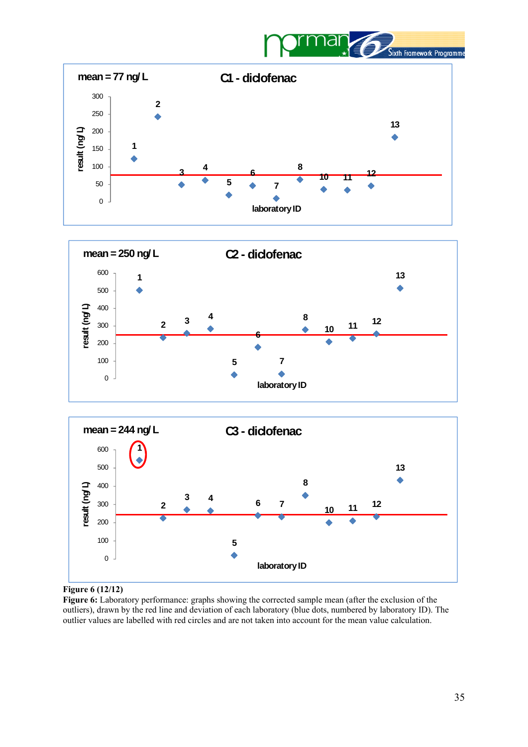







#### **Figure 6 (12/12)**

**Figure 6:** Laboratory performance: graphs showing the corrected sample mean (after the exclusion of the outliers), drawn by the red line and deviation of each laboratory (blue dots, numbered by laboratory ID). The outlier values are labelled with red circles and are not taken into account for the mean value calculation.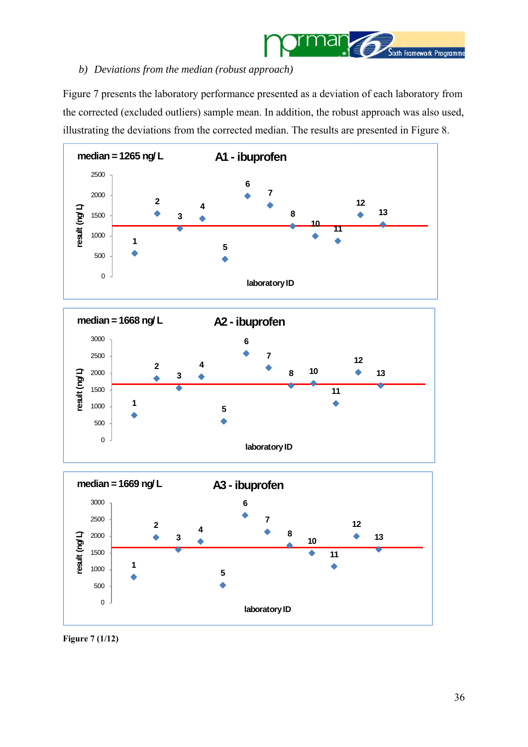

## <span id="page-35-0"></span>*b) Deviations from the median (robust approach)*

Figure 7 presents the laboratory performance presented as a deviation of each laboratory from the corrected (excluded outliers) sample mean. In addition, the robust approach was also used, illustrating the deviations from the corrected median. The results are presented in Figure 8.







**Figure 7 (1/12)**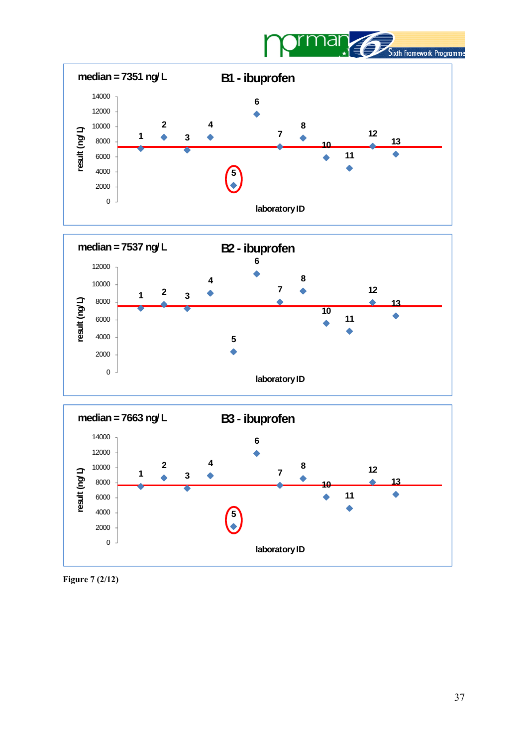







**Figure 7 (2/12)**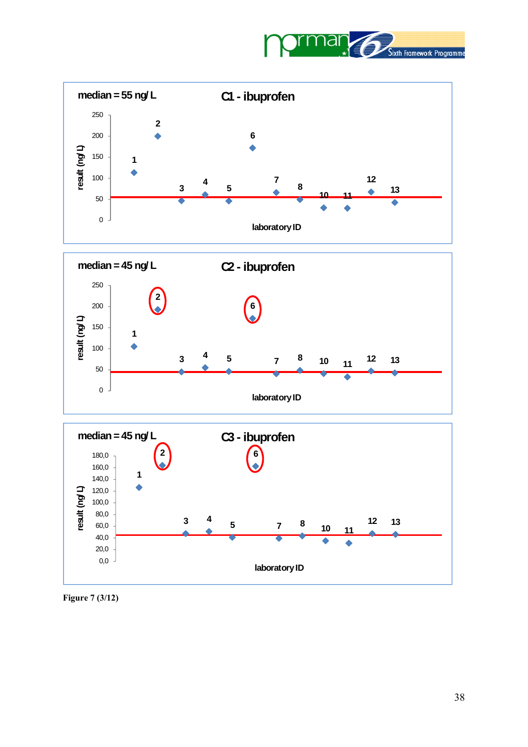







**Figure 7 (3/12)**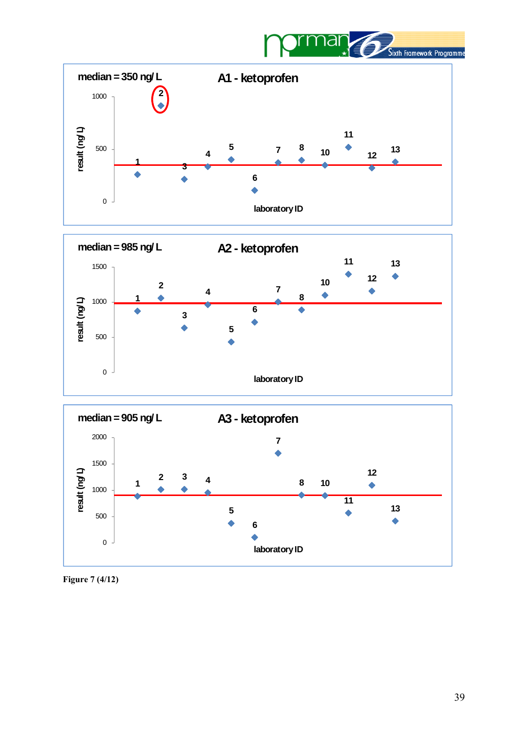







**Figure 7 (4/12)**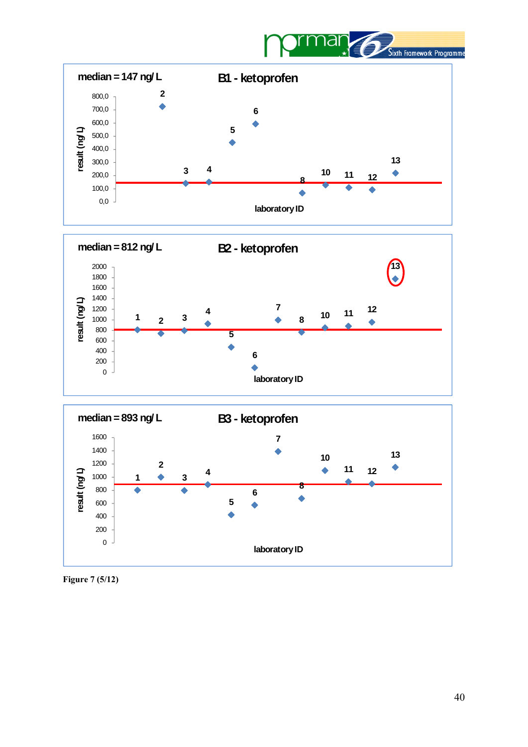







**Figure 7 (5/12)**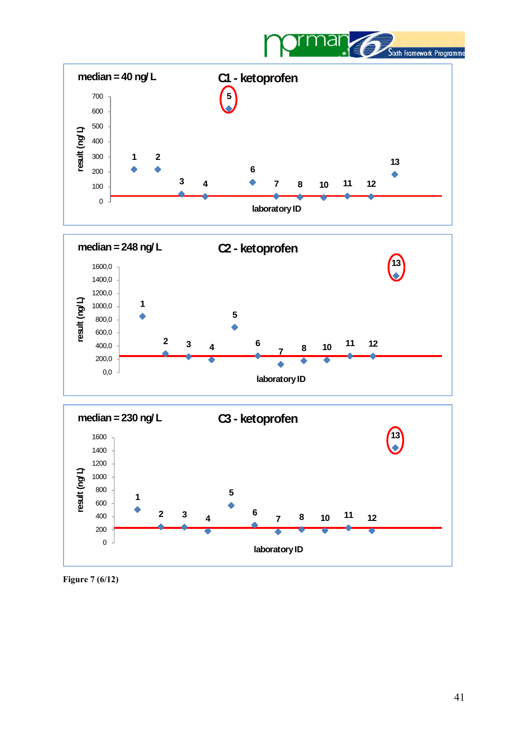







**Figure 7 (6/12)**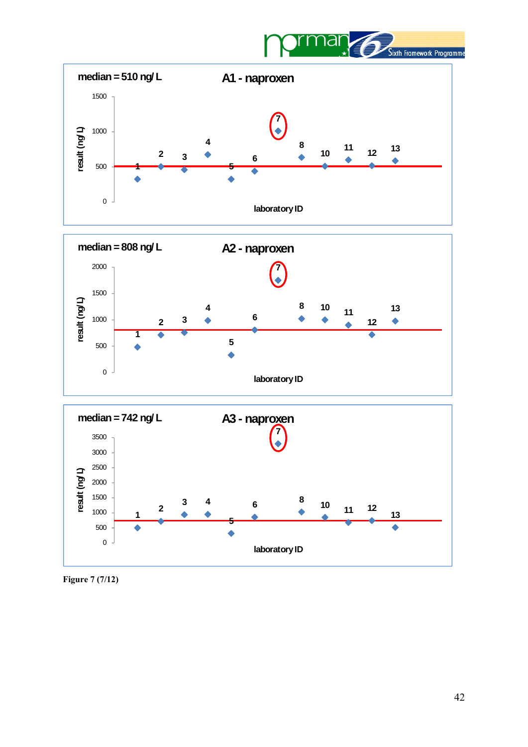



**Figure 7 (7/12)**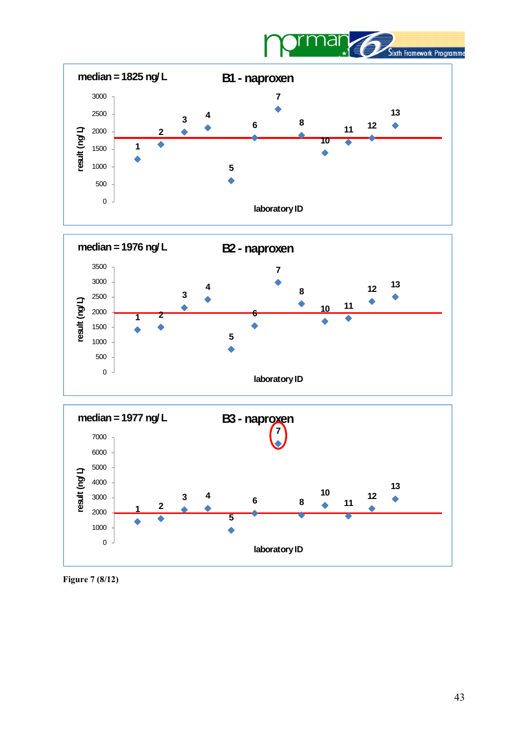



**Figure 7 (8/12)**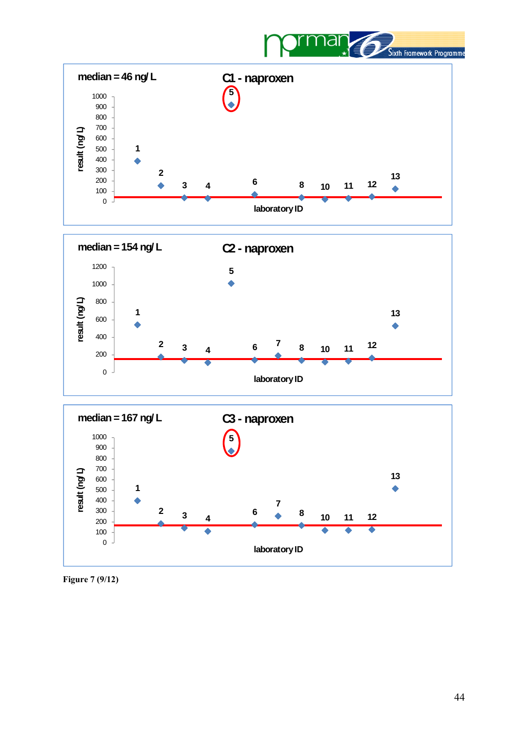







**Figure 7 (9/12)**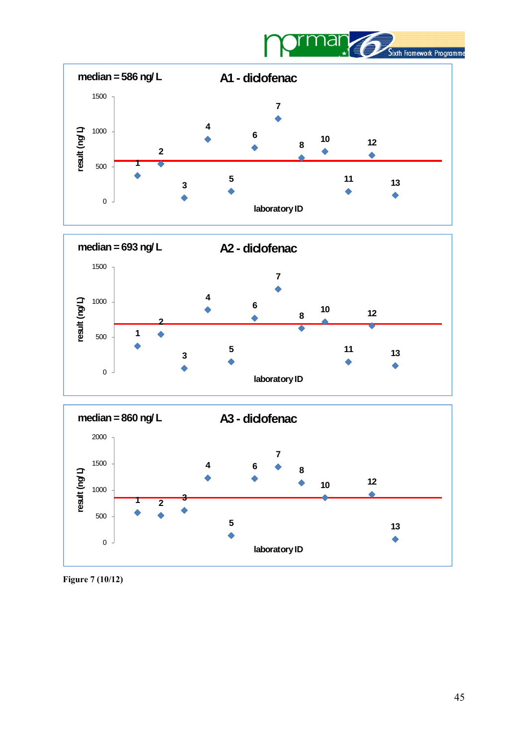







**Figure 7 (10/12)**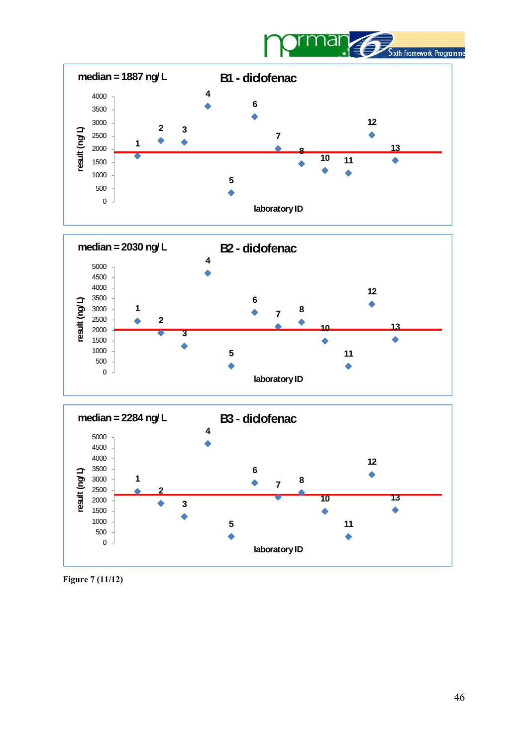







**Figure 7 (11/12)**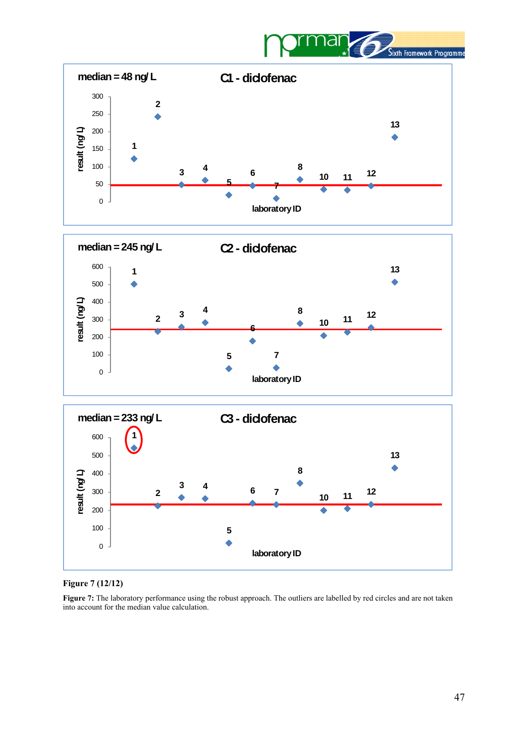







#### **Figure 7 (12/12)**

Figure 7: The laboratory performance using the robust approach. The outliers are labelled by red circles and are not taken into account for the median value calculation.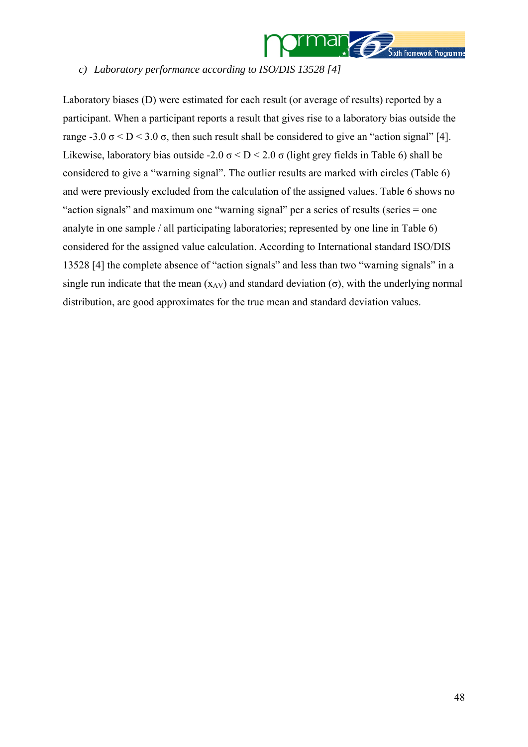

#### <span id="page-47-0"></span>*c) Laboratory performance according to ISO/DIS 13528 [[4](#page-60-2)]*

Laboratory biases (D) were estimated for each result (or average of results) reported by a participant. When a participant reports a result that gives rise to a laboratory bias outside the range -3.0  $\sigma$  < D < 3.0  $\sigma$ , then such result shall be considered to give an "action signal" [4]. Likewise, laboratory bias outside -2.0  $\sigma$  < D < 2.0  $\sigma$  (light grey fields in Table 6) shall be considered to give a "warning signal". The outlier results are marked with circles (Table 6) and were previously excluded from the calculation of the assigned values. Table 6 shows no "action signals" and maximum one "warning signal" per a series of results (series = one analyte in one sample / all participating laboratories; represented by one line in Table 6) considered for the assigned value calculation. According to International standard ISO/DIS 13528 [[4\]](#page-47-0) the complete absence of "action signals" and less than two "warning signals" in a single run indicate that the mean  $(x_{AV})$  and standard deviation  $(\sigma)$ , with the underlying normal distribution, are good approximates for the true mean and standard deviation values.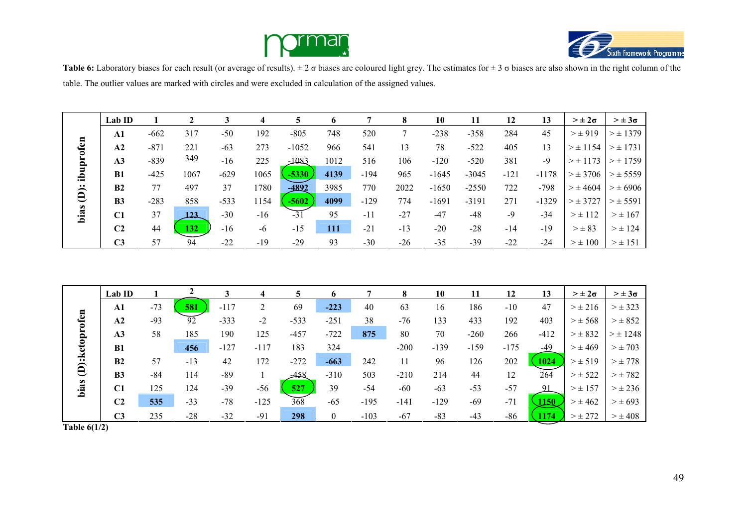



**Table 6:** Laboratory biases for each result (or average of results). ± 2 σ biases are coloured light grey. The estimates for ± 3 σ biases are also shown in the right column of the table. The outlier values are marked with circles and were excluded in calculation of the assigned values.

|                      | Lab ID         |        |              |        |       | 5       | o          |        |       | 10      | 11      | 12     | 13      | $> \pm 2\sigma$ | $> \pm 3\sigma$ |
|----------------------|----------------|--------|--------------|--------|-------|---------|------------|--------|-------|---------|---------|--------|---------|-----------------|-----------------|
|                      | ${\bf A1}$     | $-662$ | 317          | $-50$  | 192   | $-805$  | 748        | 520    |       | $-238$  | $-358$  | 284    | 45      | $> \pm 919$     | $> \pm 1379$    |
|                      | A <sub>2</sub> | $-871$ | 221          | $-63$  | 273   | $-1052$ | 966        | 541    | 13    | 78      | $-522$  | 405    | 13      | $> \pm 1154$    | $> \pm 1731$    |
|                      | A <sub>3</sub> | $-839$ | 349          | $-16$  | 225   | $-1083$ | 1012       | 516    | 106   | $-120$  | $-520$  | 381    | $-9$    | $> \pm 1173$    | $>\pm$ 1759     |
| ibuprofen            | B1             | $-425$ | 1067         | $-629$ | 1065  | $-5330$ | 4139       | -194   | 965   | $-1645$ | $-3045$ | $-121$ | $-1178$ | $>\pm$ 3706     | $> \pm 5559$    |
| $\ddot{\widehat{e}}$ | B <sub>2</sub> | 77     | 497          | 37     | 1780  | $-4892$ | 3985       | 770    | 2022  | $-1650$ | $-2550$ | 722    | $-798$  | $> \pm 4604$    | $> \pm 6906$    |
|                      | B <sub>3</sub> | $-283$ | 858          | $-533$ | 154   | $-5602$ | 4099       | $-129$ | 774   | $-1691$ | $-3191$ | 271    | $-1329$ | $>\pm$ 3727     | $> \pm 5591$    |
| bias                 | C1             | 37     | <u> 123.</u> | $-30$  | $-16$ | $-31$   | 95         | $-11$  | $-27$ | $-47$   | $-48$   | $-9$   | $-34$   | $> \pm 112$     | $>\pm 167$      |
|                      | C <sub>2</sub> | 44     | 132          | $-16$  | -6    | $-15$   | <b>111</b> | $-21$  | $-13$ | $-20$   | $-28$   | $-14$  | $-19$   | $> \pm 83$      | $> \pm 124$     |
|                      | C <sub>3</sub> | 57     | 94           | $-22$  | $-19$ | $-29$   | 93         | $-30$  | $-26$ | $-35$   | $-39$   | $-22$  | $-24$   | $>\pm 100$      | $> \pm 151$     |

|               | Lab ID         |       |       |        |        |        | o              |        | 8      | 10     |        | 12     | 13         | $> \pm 2\sigma$ | $> \pm 3\sigma$ |
|---------------|----------------|-------|-------|--------|--------|--------|----------------|--------|--------|--------|--------|--------|------------|-----------------|-----------------|
|               | ${\bf A1}$     | $-73$ | 581   | $-117$ |        | 69     | $-223$         | 40     | 63     | 16     | 186    | $-10$  | 47         | $> \pm 216$     | $> \pm 323$     |
| D):ketoprofen | A2             | $-93$ | 92    | $-333$ | $-2$   | $-533$ | $-251$         | 38     | $-76$  | 133    | 433    | 192    | 403        | $> \pm 568$     | $> \pm 852$     |
|               | A3             | 58    | 185   | 190    | 125    | $-457$ | $-722$         | 875    | 80     | 70     | $-260$ | 266    | $-412$     | $> \pm 832$     | $> \pm 1248$    |
|               | <b>B1</b>      |       | 456   | $-127$ | $-117$ | 183    | 324            |        | $-200$ | $-139$ | $-159$ | $-175$ | $-49$      | $> \pm 469$     | $> \pm 703$     |
|               | B2             | 57    | $-13$ | 42     | 172    | $-272$ | $-663$         | 242    | 11     | 96     | 126    | 202    | 1024       | $> \pm 519$     | $>\pm 778$      |
|               | <b>B3</b>      | $-84$ | 114   | $-89$  |        | 458ھ   | $-310$         | 503    | $-210$ | 214    | 44     | 12     | 264        | $>\pm 522$      | $>\pm 782$      |
| bias          | C1             | 125   | 124   | $-39$  | $-56$  | 527    | 39             | $-54$  | $-60$  | $-63$  | $-53$  | $-57$  |            | $> \pm 157$     | $> \pm 236$     |
|               | C <sub>2</sub> | 535   | $-33$ | $-78$  | $-125$ | 368    | $-65$          | $-195$ | $-141$ | $-129$ | $-69$  | $-71$  | <b>150</b> | $> \pm 462$     | $> \pm 693$     |
|               | C <sub>3</sub> | 235   | $-28$ | $-32$  | $-91$  | 298    | $\overline{0}$ | $-103$ | $-67$  | $-83$  | $-43$  | $-86$  | <b>174</b> | $> \pm 272$     | $> \pm 408$     |

**Table 6(1/2)**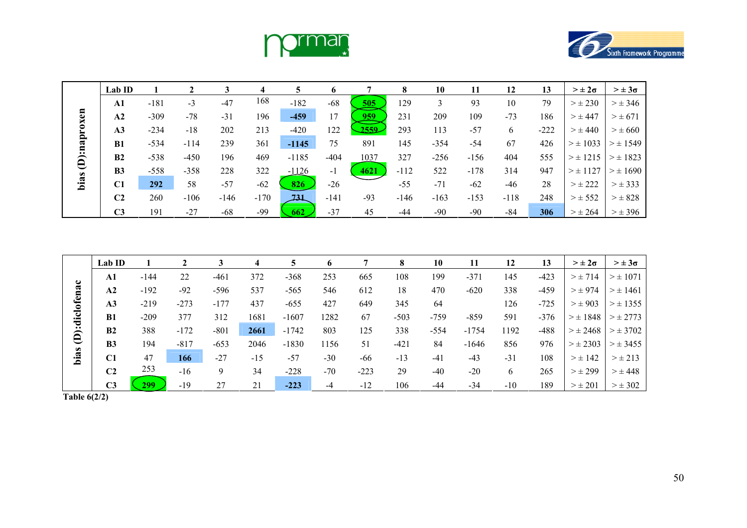



|              | Lab ID         |        |        |        | 4      |            |                |                               | 8      | 10     | 11     | 12     | 13     | $> \pm 2\sigma$ | $> \pm 3\sigma$ |
|--------------|----------------|--------|--------|--------|--------|------------|----------------|-------------------------------|--------|--------|--------|--------|--------|-----------------|-----------------|
|              | $\mathbf{A1}$  | $-181$ | $-3$   | $-47$  | 168    | $-182$     | $-68$          | $\underline{\underline{505}}$ | 129    | 3      | 93     | 10     | 79     | $>\pm 230$      | $> \pm 346$     |
|              | A2             | $-309$ | $-78$  | $-31$  | 196    | $-459$     | 17             | <u>959</u>                    | 231    | 209    | 109    | $-73$  | 186    | $> \pm 447$     | $>\pm 671$      |
|              | A <sub>3</sub> | $-234$ | $-18$  | 202    | 213    | $-420$     | 122            | 2559                          | 293    | 113    | $-57$  | 6      | $-222$ | $> \pm 440$     | $> \pm 660$     |
|              | <b>B1</b>      | $-534$ | $-114$ | 239    | 361    | $-1145$    | 75             | 891                           | 145    | -354   | $-54$  | 67     | 426    | $> \pm 1033$    | $> \pm 1549$    |
| (D):naproxen | B <sub>2</sub> | $-538$ | $-450$ | 196    | 469    | $-1185$    | $-404$         | 1037                          | 327    | -256   | $-156$ | 404    | 555    | $>\pm$ 1215     | $> \pm 1823$    |
|              | B <sub>3</sub> | $-558$ | $-358$ | 228    | 322    | $-1126$    | $\blacksquare$ | 4621                          | $-112$ | 522    | $-178$ | 314    | 947    | $> \pm 1127$    | $>\pm 1690$     |
| bias         | C1             | 292    | 58     | $-57$  | $-62$  | 826        | $-26$          |                               | $-55$  | $-71$  | $-62$  | $-46$  | 28     | $>\pm 222$      | $> \pm 333$     |
|              | C <sub>2</sub> | 260    | $-106$ | $-146$ | $-170$ | <b>731</b> | $-141$         | $-93$                         | $-146$ | $-163$ | $-153$ | $-118$ | 248    | $>\pm 552$      | $> \pm 828$     |
|              | C <sub>3</sub> | 191    | $-27$  | $-68$  | $-99$  | 662        | $-37$          | 45                            | -44    | $-90$  | $-90$  | -84    | 306    | $> \pm 264$     | $> \pm 396$     |

|                | Lab ID         |        |        | 3      | 4     | 5       | <sub>0</sub> |        | 8      | 10     | 11      | 12    | 13     | $> \pm 2\sigma$ | $> \pm 3\sigma$ |
|----------------|----------------|--------|--------|--------|-------|---------|--------------|--------|--------|--------|---------|-------|--------|-----------------|-----------------|
|                | ${\bf A1}$     | $-144$ | 22     | $-461$ | 372   | $-368$  | 253          | 665    | 108    | 199    | $-371$  | 145   | $-423$ | $> \pm 714$     | $> \pm 1071$    |
|                | A <sub>2</sub> | $-192$ | $-92$  | $-596$ | 537   | $-565$  | 546          | 612    | 18     | 470    | $-620$  | 338   | $-459$ | $> \pm 974$     | $> \pm 1461$    |
| (D):diclofenac | A3             | $-219$ | $-273$ | $-177$ | 437   | $-655$  | 427          | 649    | 345    | 64     |         | 126   | $-725$ | $> \pm 903$     | $> \pm 1355$    |
|                | B1             | $-209$ | 377    | 312    | 1681  | $-1607$ | 1282         | 67     | $-503$ | $-759$ | $-859$  | 591   | $-376$ | $> \pm 1848$    | $> \pm 2773$    |
|                | B <sub>2</sub> | 388    | $-172$ | $-801$ | 2661  | $-1742$ | 803          | 125    | 338    | $-554$ | $-1754$ | 1192  | $-488$ | $> \pm 2468$    | $> \pm 3702$    |
|                | B <sub>3</sub> | 194    | $-817$ | $-653$ | 2046  | $-1830$ | 156          | 51     | $-421$ | 84     | $-1646$ | 856   | 976    | $> \pm 2303$    | $> \pm 3455$    |
| bias           | C1             | 47     | 166    | $-27$  | $-15$ | $-57$   | $-30$        | -66    | $-13$  | $-41$  | $-43$   | $-31$ | 108    | $> \pm 142$     | $> \pm 213$     |
|                | C <sub>2</sub> | 253    | $-16$  | 9      | 34    | $-228$  | $-70$        | $-223$ | 29     | $-40$  | $-20$   | 6     | 265    | $>\pm 299$      | $> \pm 448$     |
|                | C <sub>3</sub> | 299    | $-19$  | 27     | 21    | $-223$  | $-4$         | $-12$  | 106    | $-44$  | $-34$   | $-10$ | 189    | $> \pm 201$     | $> \pm 302$     |

**Table 6(2/2)**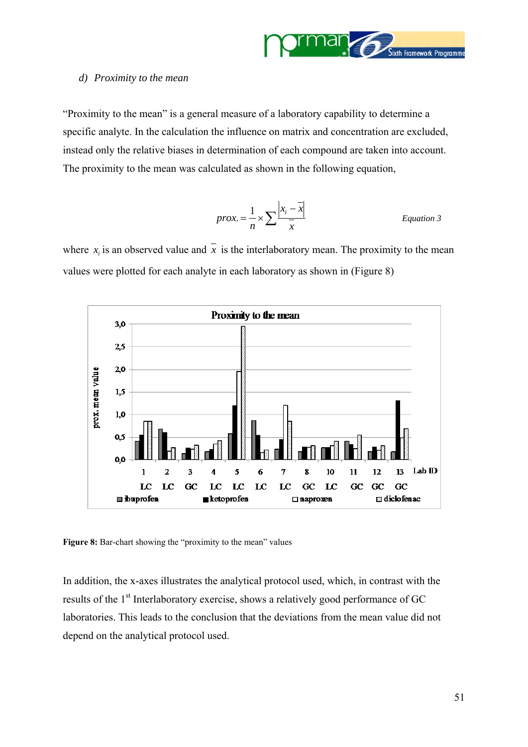

#### <span id="page-50-0"></span>*d) Proximity to the mean*

"Proximity to the mean" is a general measure of a laboratory capability to determine a specific analyte. In the calculation the influence on matrix and concentration are excluded, instead only the relative biases in determination of each compound are taken into account. The proximity to the mean was calculated as shown in the following equation,

$$
prox. = \frac{1}{n} \times \sum \frac{|x_i - \overline{x}|}{\overline{x}}
$$
 Equation 3

where  $x_i$  is an observed value and  $\overline{x}$  is the interlaboratory mean. The proximity to the mean values were plotted for each analyte in each laboratory as shown in (Figure 8)



Figure 8: Bar-chart showing the "proximity to the mean" values

In addition, the x-axes illustrates the analytical protocol used, which, in contrast with the results of the 1<sup>st</sup> Interlaboratory exercise, shows a relatively good performance of GC laboratories. This leads to the conclusion that the deviations from the mean value did not depend on the analytical protocol used.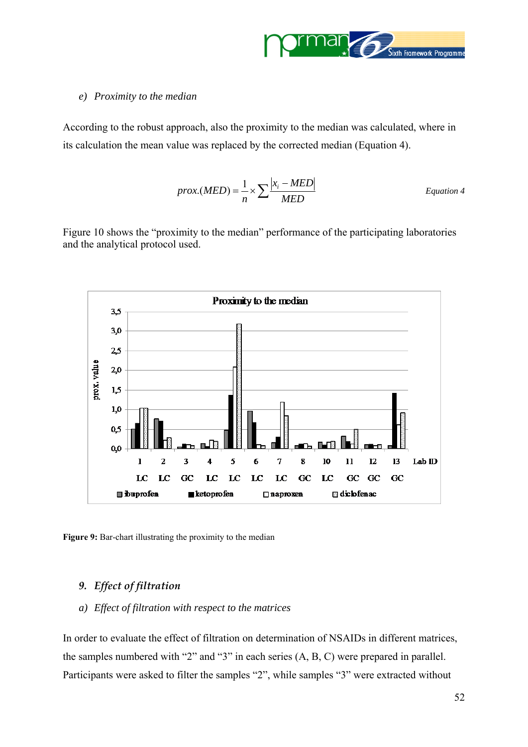

#### <span id="page-51-0"></span>*e) Proximity to the median*

According to the robust approach, also the proximity to the median was calculated, where in its calculation the mean value was replaced by the corrected median (Equation 4).

$$
prox(MED) = \frac{1}{n} \times \sum \frac{|x_i - MED|}{MED}
$$
 *Equation 4*

Figure 10 shows the "proximity to the median" performance of the participating laboratories and the analytical protocol used.



**Figure 9:** Bar-chart illustrating the proximity to the median

#### *9. Effect of filtration*

*a) Effect of filtration with respect to the matrices* 

In order to evaluate the effect of filtration on determination of NSAIDs in different matrices, the samples numbered with "2" and "3" in each series (A, B, C) were prepared in parallel. Participants were asked to filter the samples "2", while samples "3" were extracted without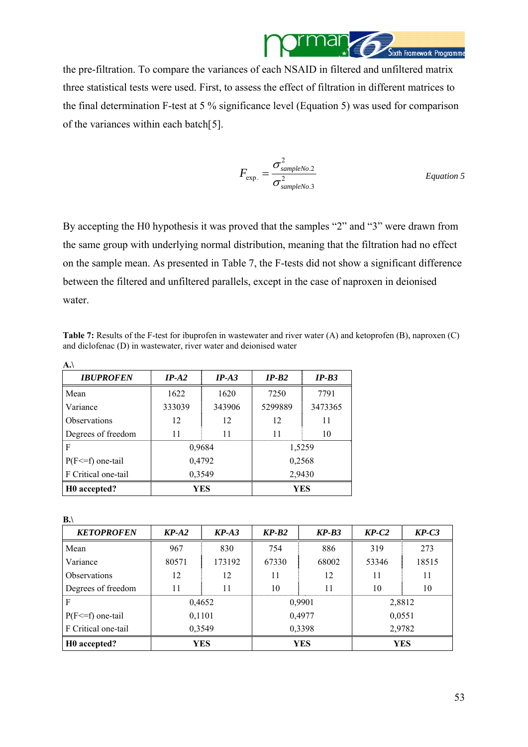

the pre-filtration. To compare the variances of each NSAID in filtered and unfiltered matrix three statistical tests were used. First, to assess the effect of filtration in different matrices to the final determination F-test at 5 % significance level (Equation 5) was used for comparison of the variances within each batch[[5](#page-60-1)].

$$
F_{\rm exp.} = \frac{\sigma_{\rm sampleNo.2}^2}{\sigma_{\rm sampleNo.3}^2}
$$
 *Equation 5*

By accepting the H0 hypothesis it was proved that the samples "2" and "3" were drawn from the same group with underlying normal distribution, meaning that the filtration had no effect on the sample mean. As presented in Table 7, the F-tests did not show a significant difference between the filtered and unfiltered parallels, except in the case of naproxen in deionised water.

**Table 7:** Results of the F-test for ibuprofen in wastewater and river water (A) and ketoprofen (B), naproxen (C) and diclofenac (D) in wastewater, river water and deionised water

| A.                    |         |            |         |         |  |
|-----------------------|---------|------------|---------|---------|--|
| <b>IBUPROFEN</b>      | $IP-A2$ | $IP-A3$    | $IP-B2$ | $IP-B3$ |  |
| Mean                  | 1622    | 1620       | 7250    | 7791    |  |
| Variance              | 333039  | 343906     | 5299889 | 3473365 |  |
| Observations          | 12      | 12         | 12      | 11      |  |
| Degrees of freedom    | 11      | 11         | 11      | 10      |  |
| F                     |         | 0,9684     |         | 1,5259  |  |
| $P(F \le f)$ one-tail |         | 0,4792     | 0,2568  |         |  |
| F Critical one-tail   |         | 0,3549     | 2,9430  |         |  |
| H0 accepted?          |         | <b>YES</b> | YES     |         |  |

**B.\** 

| <b>KETOPROFEN</b>        | $KP-A2$                         | $KP-A3$ | $KP-B2$ | $KP-B3$ | $KP-C2$ | $KP-C3$ |  |
|--------------------------|---------------------------------|---------|---------|---------|---------|---------|--|
| Mean                     | 967                             | 830     | 754     | 886     | 319     | 273     |  |
| Variance                 | 80571                           | 173192  | 67330   | 68002   | 53346   | 18515   |  |
| Observations             | 12                              | 12      | 11      | 12      | 11      | 11      |  |
| Degrees of freedom       | 11                              | 11      | 10      | 11      | 10      | 10      |  |
| F                        |                                 | 0,4652  |         | 0,9901  |         | 2,8812  |  |
| $P(F \le f)$ one-tail    | 0,1101                          |         |         | 0,4977  |         | 0,0551  |  |
| F Critical one-tail      |                                 | 0,3549  | 0,3398  |         | 2,9782  |         |  |
| H <sub>0</sub> accepted? | <b>YES</b><br>YES<br><b>YES</b> |         |         |         |         |         |  |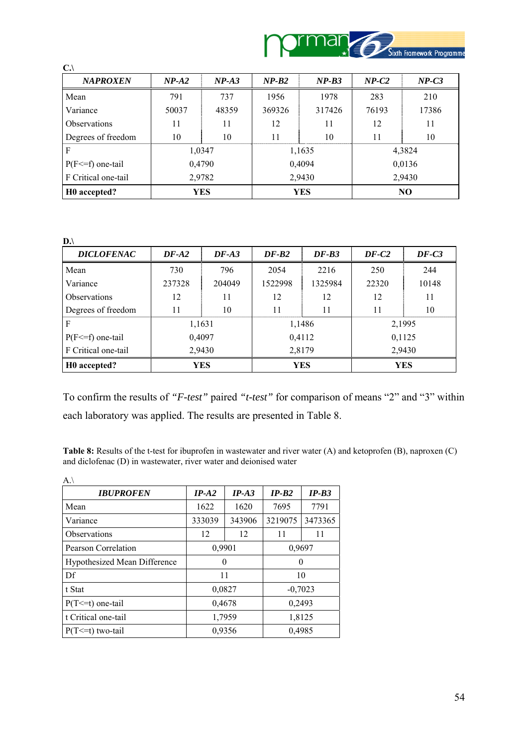

| $C.\setminus$            |         |         |         |            |         |         |  |
|--------------------------|---------|---------|---------|------------|---------|---------|--|
| <b>NAPROXEN</b>          | $NP-A2$ | $NP-A3$ | $NP-B2$ | $NP-B3$    | $NP-C2$ | $NP-C3$ |  |
| Mean                     | 791     | 737     | 1956    | 1978       | 283     | 210     |  |
| Variance                 | 50037   | 48359   | 369326  | 317426     | 76193   | 17386   |  |
| <b>Observations</b>      | 11      | 11      | 12      | 11         | 12      | 11      |  |
| Degrees of freedom       | 10      | 10      | 11      | 10         | 11      | 10      |  |
| F                        |         | 1,0347  |         | 1,1635     |         | 4,3824  |  |
| $P(F \le f)$ one-tail    |         | 0,4790  |         | 0,4094     | 0,0136  |         |  |
| F Critical one-tail      | 2,9782  |         |         | 2,9430     |         | 2,9430  |  |
| H <sub>0</sub> accepted? | YES     |         |         | <b>YES</b> | NO      |         |  |

| I |  |
|---|--|
| ٩ |  |
|   |  |

| <b>DICLOFENAC</b>     | $DF-A2$ | $DF- A3$ | $DF-B2$ | $DF-B3$    | $DF-C2$    | $DF-C3$ |
|-----------------------|---------|----------|---------|------------|------------|---------|
| Mean                  | 730     | 796      | 2054    | 2216       | 250        | 244     |
| Variance              | 237328  | 204049   | 1522998 | 1325984    | 22320      | 10148   |
| Observations          | 12      | 11       | 12      | 12         | 12         | 11      |
| Degrees of freedom    | 11      | 10       | 11      | 11         | 11         | 10      |
| F                     |         | 1,1631   |         | 1,1486     | 2,1995     |         |
| $P(F \le f)$ one-tail |         | 0,4097   |         | 0,4112     |            | 0,1125  |
| F Critical one-tail   |         | 2,9430   | 2,8179  |            | 2,9430     |         |
| HO accepted?          |         | YES      |         | <b>YES</b> | <b>YES</b> |         |

To confirm the results of *"F-test"* paired *"t-test"* for comparison of means "2" and "3" within each laboratory was applied. The results are presented in Table 8.

**Table 8:** Results of the t-test for ibuprofen in wastewater and river water (A) and ketoprofen (B), naproxen (C) and diclofenac (D) in wastewater, river water and deionised water

| A.                           |         |         |         |           |
|------------------------------|---------|---------|---------|-----------|
| <b>IBUPROFEN</b>             | $IP-A2$ | $IP-A3$ | $IP-B2$ | $IP-B3$   |
| Mean                         | 1622    | 1620    | 7695    | 7791      |
| Variance                     | 333039  | 343906  | 3219075 | 3473365   |
| Observations                 | 12      | 12      | 11      | 11        |
| Pearson Correlation          | 0,9901  |         | 0,9697  |           |
| Hypothesized Mean Difference | 0       |         | 0       |           |
| Df                           |         | 11      |         | 10        |
| t Stat                       |         | 0,0827  |         | $-0,7023$ |
| $P(T \le t)$ one-tail        |         | 0,4678  | 0,2493  |           |
| t Critical one-tail          |         | 1,7959  |         | 1,8125    |
| $P(T \le t)$ two-tail        |         | 0,9356  |         | 0,4985    |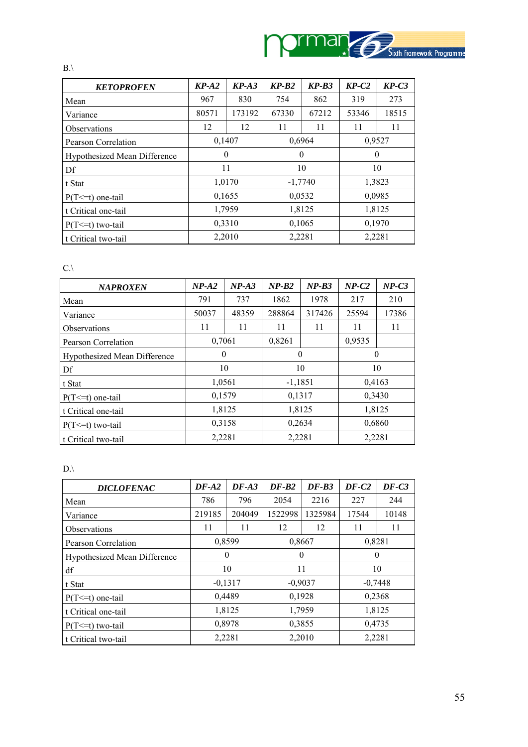

| <b>KETOPROFEN</b>            | $KP-A2$  | $KP-A3$ | $KP-B2$   | $KP-B3$ | $KP-C2$  | $KP-C3$ |  |
|------------------------------|----------|---------|-----------|---------|----------|---------|--|
| Mean                         | 967      | 830     | 754       | 862     | 319      | 273     |  |
| Variance                     | 80571    | 173192  | 67330     | 67212   | 53346    | 18515   |  |
| <b>Observations</b>          | 12       | 12      | 11        | 11      | 11       | 11      |  |
| Pearson Correlation          | 0,1407   |         | 0,6964    |         | 0,9527   |         |  |
| Hypothesized Mean Difference | $\theta$ |         | $\theta$  |         | $\theta$ |         |  |
| Df                           |          | 11      | 10        |         | 10       |         |  |
| t Stat                       |          | 1,0170  | $-1,7740$ |         | 1,3823   |         |  |
| $P(T \le t)$ one-tail        |          | 0,1655  |           | 0,0532  |          | 0,0985  |  |
| t Critical one-tail          | 1,7959   |         |           | 1,8125  | 1,8125   |         |  |
| $P(T \le t)$ two-tail        | 0,3310   |         | 0,1065    |         | 0,1970   |         |  |
| t Critical two-tail          | 2,2010   |         | 2,2281    |         | 2,2281   |         |  |

 $C.\setminus$ 

 $B.$ \

| <b>NAPROXEN</b>                     | $NP-A2$  | $NP-A3$ | $NP-B2$   | $NP-B3$ | $NP-C2$  | $NP-C3$ |
|-------------------------------------|----------|---------|-----------|---------|----------|---------|
| Mean                                | 791      | 737     | 1862      | 1978    | 217      | 210     |
| Variance                            | 50037    | 48359   | 288864    | 317426  | 25594    | 17386   |
| <b>Observations</b>                 | 11       | 11      | 11        | 11      | 11       | 11      |
| Pearson Correlation                 | 0,7061   |         | 0,8261    |         | 0,9535   |         |
| <b>Hypothesized Mean Difference</b> | $\theta$ |         | $\theta$  |         | $\theta$ |         |
| Df                                  |          | 10      | 10        |         | 10       |         |
| t Stat                              |          | 1,0561  | $-1,1851$ |         | 0,4163   |         |
| $P(T \le t)$ one-tail               |          | 0,1579  |           | 0,1317  |          | 0,3430  |
| t Critical one-tail                 |          | 1,8125  |           | 1,8125  | 1,8125   |         |
| $P(T \le t)$ two-tail               | 0,3158   |         | 0,2634    |         | 0,6860   |         |
| t Critical two-tail                 | 2,2281   |         | 2,2281    |         | 2,2281   |         |

 $D.\setminus$ 

| <b>DICLOFENAC</b>                   | $DF-A2$  | $DF-43$   | $DF-B2$   | $DF-B3$ | $DF-C2$   | $DF-C3$ |  |
|-------------------------------------|----------|-----------|-----------|---------|-----------|---------|--|
| Mean                                | 786      | 796       | 2054      | 2216    | 227       | 244     |  |
| Variance                            | 219185   | 204049    | 1522998   | 1325984 | 17544     | 10148   |  |
| <b>Observations</b>                 | 11       | 11        | 12        | 12      | 11        | 11      |  |
| Pearson Correlation                 | 0,8599   |           | 0,8667    |         | 0,8281    |         |  |
| <b>Hypothesized Mean Difference</b> | $\theta$ |           | $\Omega$  |         | $\theta$  |         |  |
| df                                  |          | 10        | 11        |         | 10        |         |  |
| t Stat                              |          | $-0,1317$ | $-0,9037$ |         | $-0,7448$ |         |  |
| $P(T \le t)$ one-tail               |          | 0,4489    |           | 0,1928  |           | 0,2368  |  |
| t Critical one-tail                 |          | 1,8125    |           | 1,7959  | 1,8125    |         |  |
| $P(T \le t)$ two-tail               | 0,8978   |           | 0,3855    |         | 0,4735    |         |  |
| t Critical two-tail                 |          | 2,2281    | 2,2010    |         | 2,2281    |         |  |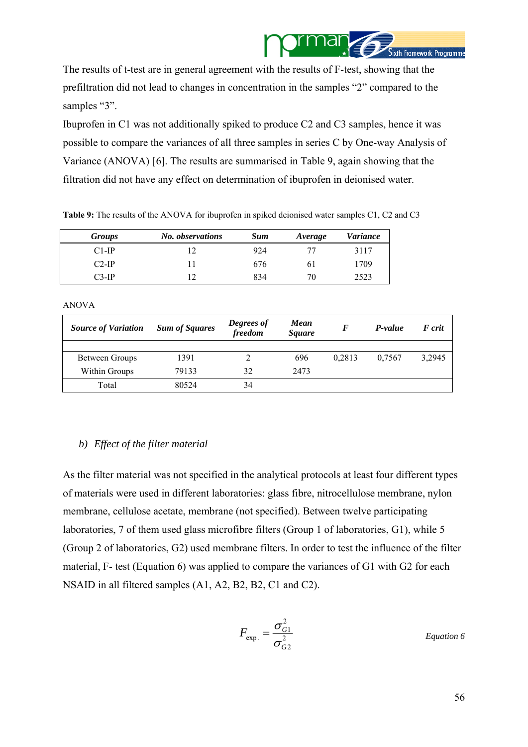

<span id="page-55-0"></span>The results of t-test are in general agreement with the results of F-test, showing that the prefiltration did not lead to changes in concentration in the samples "2" compared to the samples "3".

Ibuprofen in C1 was not additionally spiked to produce C2 and C3 samples, hence it was possible to compare the variances of all three samples in series C by One-way Analysis of Variance (ANOVA) [[6](#page-60-1)]. The results are summarised in Table 9, again showing that the filtration did not have any effect on determination of ibuprofen in deionised water.

| <b>Groups</b> | No. observations | <b>Sum</b> | Average | <i>Variance</i> |
|---------------|------------------|------------|---------|-----------------|
| $C1-IP$       |                  | 924        |         | 3117            |
| $C2-IP$       |                  | 676        | 6 I     | 1709            |
| $C3-IP$       |                  | 834        | 70      | 2523            |

**Table 9:** The results of the ANOVA for ibuprofen in spiked deionised water samples C1, C2 and C3

#### ANOVA

| <b>Source of Variation</b> | <b>Sum of Squares</b> | Degrees of<br>freedom | Mean<br><i>Square</i> | $\bm{F}$ | P-value | F crit |
|----------------------------|-----------------------|-----------------------|-----------------------|----------|---------|--------|
|                            |                       |                       |                       |          |         |        |
| Between Groups             | 1391                  |                       | 696                   | 0.2813   | 0.7567  | 3.2945 |
| Within Groups              | 79133                 | 32                    | 2473                  |          |         |        |
| Total                      | 80524                 | 34                    |                       |          |         |        |

#### *b) Effect of the filter material*

As the filter material was not specified in the analytical protocols at least four different types of materials were used in different laboratories: glass fibre, nitrocellulose membrane, nylon membrane, cellulose acetate, membrane (not specified). Between twelve participating laboratories, 7 of them used glass microfibre filters (Group 1 of laboratories, G1), while 5 (Group 2 of laboratories, G2) used membrane filters. In order to test the influence of the filter material, F- test (Equation 6) was applied to compare the variances of G1 with G2 for each NSAID in all filtered samples (A1, A2, B2, B2, C1 and C2).

$$
F_{\rm exp.} = \frac{\sigma_{G1}^2}{\sigma_{G2}^2}
$$
 *Equation 6*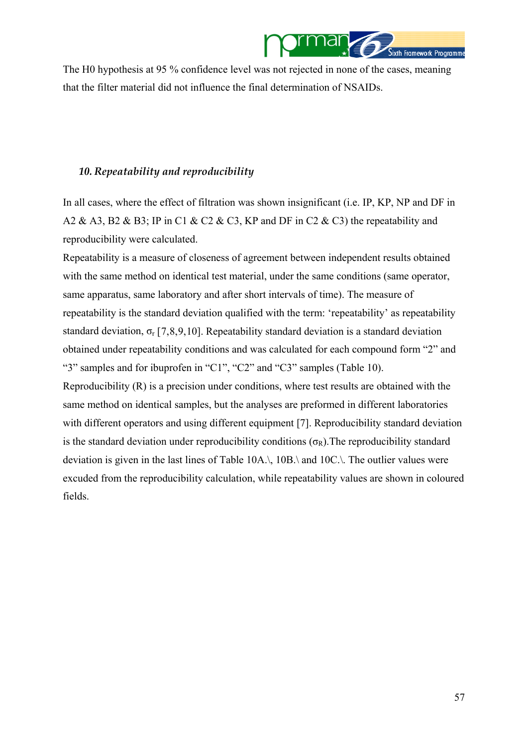

<span id="page-56-0"></span>The H0 hypothesis at 95 % confidence level was not rejected in none of the cases, meaning that the filter material did not influence the final determination of NSAIDs.

#### *10. Repeatability and reproducibility*

fields.

In all cases, where the effect of filtration was shown insignificant (i.e. IP, KP, NP and DF in A2 & A3, B2 & B3; IP in C1 & C2 & C3, KP and DF in C2 & C3) the repeatability and reproducibility were calculated.

Repeatability is a measure of closeness of agreement between independent results obtained with the same method on identical test material, under the same conditions (same operator, same apparatus, same laboratory and after short intervals of time). The measure of repeatability is the standard deviation qualified with the term: 'repeatability' as repeatability standard deviation,  $\sigma_r$  [[7,8](#page-60-1),[9,1](#page-60-1)0]. Repeatability standard deviation is a standard deviation obtained under repeatability conditions and was calculated for each compound form "2" and "3" samples and for ibuprofen in "C1", "C2" and "C3" samples (Table 10). Reproducibility (R) is a precision under conditions, where test results are obtained with the same method on identical samples, but the analyses are preformed in different laboratories with different operators and using different equipment [\[7](#page-56-0)]. Reproducibility standard deviation is the standard deviation under reproducibility conditions ( $\sigma_R$ ). The reproducibility standard deviation is given in the last lines of Table 10A.\, 10B.\ and 10C.\. The outlier values were excuded from the reproducibility calculation, while repeatability values are shown in coloured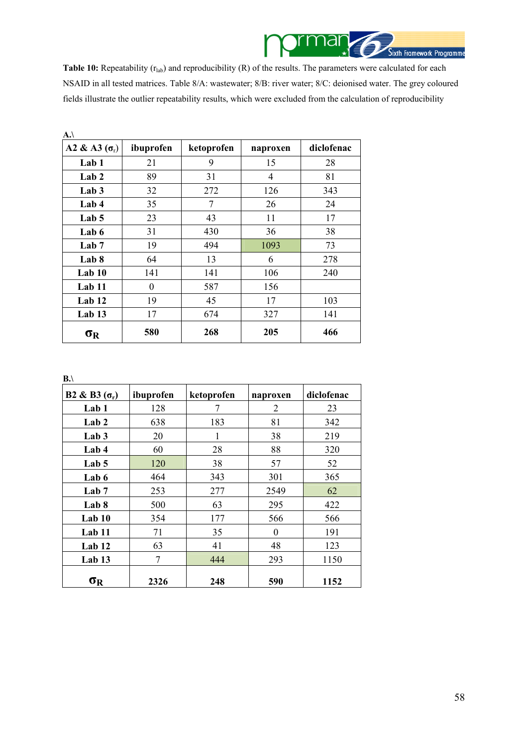

Table 10: Repeatability ( $r_{lab}$ ) and reproducibility (R) of the results. The parameters were calculated for each NSAID in all tested matrices. Table 8/A: wastewater; 8/B: river water; 8/C: deionised water. The grey coloured fields illustrate the outlier repeatability results, which were excluded from the calculation of reproducibility

| A.                   |           |            |          |            |
|----------------------|-----------|------------|----------|------------|
| A2 & A3 $(\sigma_r)$ | ibuprofen | ketoprofen | naproxen | diclofenac |
| Lab <sub>1</sub>     | 21        | 9          | 15       | 28         |
| Lab <sub>2</sub>     | 89        | 31         | 4        | 81         |
| Lab <sub>3</sub>     | 32        | 272        | 126      | 343        |
| Lab 4                | 35        | 7          | 26       | 24         |
| Lab 5                | 23        | 43         | 11       | 17         |
| Lab 6                | 31        | 430        | 36       | 38         |
| Lab <sub>7</sub>     | 19        | 494        | 1093     | 73         |
| Lab 8                | 64        | 13         | 6        | 278        |
| Lab 10               | 141       | 141        | 106      | 240        |
| Lab 11               | $\theta$  | 587        | 156      |            |
| Lab <sub>12</sub>    | 19        | 45         | 17       | 103        |
| Lab <sub>13</sub>    | 17        | 674        | 327      | 141        |
| $\sigma_{\rm R}$     | 580       | 268        | 205      | 466        |

**B.\** 

| B2 & B3 $(\sigma_r)$ | ibuprofen | ketoprofen | naproxen | diclofenac |
|----------------------|-----------|------------|----------|------------|
| Lab <sub>1</sub>     | 128       | 7          | 2        | 23         |
| Lab <sub>2</sub>     | 638       | 183        | 81       | 342        |
| Lab <sub>3</sub>     | 20        |            | 38       | 219        |
| Lab 4                | 60        | 28         | 88       | 320        |
| Lab <sub>5</sub>     | 120       | 38         | 57       | 52         |
| Lab 6                | 464       | 343        | 301      | 365        |
| Lab <sub>7</sub>     | 253       | 277        | 2549     | 62         |
| Lab 8                | 500       | 63         | 295      | 422        |
| Lab 10               | 354       | 177        | 566      | 566        |
| Lab 11               | 71        | 35         | $\Omega$ | 191        |
| Lab 12               | 63        | 41         | 48       | 123        |
| Lab 13               | 7         | 444        | 293      | 1150       |
| $\sigma_{R}$         | 2326      | 248        | 590      | 1152       |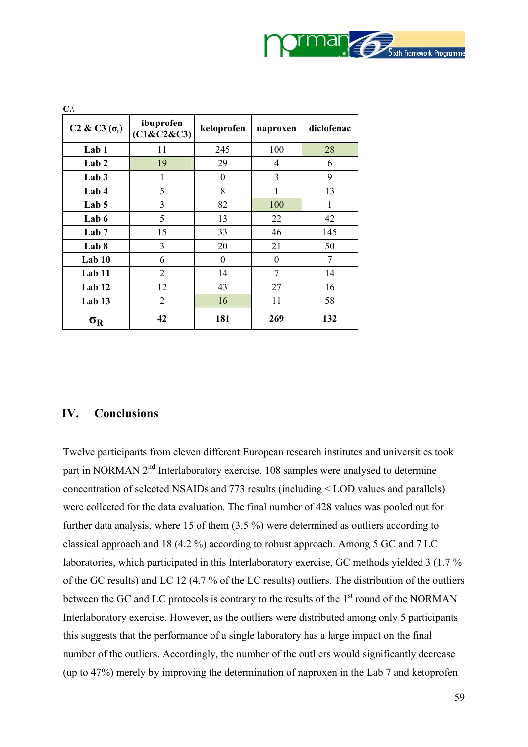

<span id="page-58-0"></span>

| $C.\setminus$                                |                         |            |                  |            |
|----------------------------------------------|-------------------------|------------|------------------|------------|
| C <sub>2</sub> & C <sub>3</sub> $(\sigma_r)$ | ibuprofen<br>(C1&C2&C3) | ketoprofen | naproxen         | diclofenac |
| Lab 1                                        | 11                      | 245        | 100              | 28         |
| Lab <sub>2</sub>                             | 19                      | 29         | 4                | 6          |
| Lab <sub>3</sub>                             | 1                       | $\theta$   | 3                | 9          |
| Lab 4                                        | 5                       | 8          | 1                | 13         |
| Lab <sub>5</sub>                             | 3                       | 82         | 100              | 1          |
| Lab 6                                        | 5                       | 13         | 22               | 42         |
| Lab <sub>7</sub>                             | 15                      | 33         | 46               | 145        |
| Lab 8                                        | 3                       | 20         | 21               | 50         |
| Lab 10                                       | 6                       | $\theta$   | $\boldsymbol{0}$ | 7          |
| Lab 11                                       | 2                       | 14         | $\overline{7}$   | 14         |
| Lab 12                                       | 12                      | 43         | 27               | 16         |
| Lab <sub>13</sub>                            | $\overline{2}$          | 16         | 11               | 58         |
| $\sigma_{\rm R}$                             | 42                      | 181        | 269              | 132        |

## **IV. Conclusions**

Twelve participants from eleven different European research institutes and universities took part in NORMAN  $2<sup>nd</sup>$  Interlaboratory exercise. 108 samples were analysed to determine concentration of selected NSAIDs and 773 results (including < LOD values and parallels) were collected for the data evaluation. The final number of 428 values was pooled out for further data analysis, where 15 of them (3.5 %) were determined as outliers according to classical approach and 18 (4.2 %) according to robust approach. Among 5 GC and 7 LC laboratories, which participated in this Interlaboratory exercise, GC methods yielded 3 (1.7 % of the GC results) and LC 12 (4.7 % of the LC results) outliers. The distribution of the outliers between the GC and LC protocols is contrary to the results of the  $1<sup>st</sup>$  round of the NORMAN Interlaboratory exercise. However, as the outliers were distributed among only 5 participants this suggests that the performance of a single laboratory has a large impact on the final number of the outliers. Accordingly, the number of the outliers would significantly decrease (up to 47%) merely by improving the determination of naproxen in the Lab 7 and ketoprofen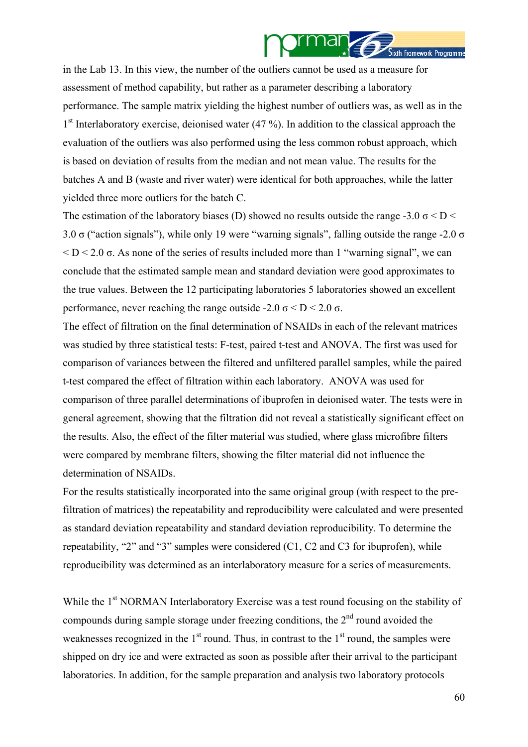

in the Lab 13. In this view, the number of the outliers cannot be used as a measure for assessment of method capability, but rather as a parameter describing a laboratory performance. The sample matrix yielding the highest number of outliers was, as well as in the 1<sup>st</sup> Interlaboratory exercise, deionised water (47 %). In addition to the classical approach the evaluation of the outliers was also performed using the less common robust approach, which is based on deviation of results from the median and not mean value. The results for the batches A and B (waste and river water) were identical for both approaches, while the latter yielded three more outliers for the batch C.

The estimation of the laboratory biases (D) showed no results outside the range -3.0  $\sigma$  < D < 3.0  $\sigma$  ("action signals"), while only 19 were "warning signals", falling outside the range -2.0  $\sigma$  $\leq D \leq 2.0$  σ. As none of the series of results included more than 1 "warning signal", we can conclude that the estimated sample mean and standard deviation were good approximates to the true values. Between the 12 participating laboratories 5 laboratories showed an excellent performance, never reaching the range outside -2.0  $\sigma$  < D < 2.0  $\sigma$ .

The effect of filtration on the final determination of NSAIDs in each of the relevant matrices was studied by three statistical tests: F-test, paired t-test and ANOVA. The first was used for comparison of variances between the filtered and unfiltered parallel samples, while the paired t-test compared the effect of filtration within each laboratory. ANOVA was used for comparison of three parallel determinations of ibuprofen in deionised water. The tests were in general agreement, showing that the filtration did not reveal a statistically significant effect on the results. Also, the effect of the filter material was studied, where glass microfibre filters were compared by membrane filters, showing the filter material did not influence the determination of NSAIDs.

For the results statistically incorporated into the same original group (with respect to the prefiltration of matrices) the repeatability and reproducibility were calculated and were presented as standard deviation repeatability and standard deviation reproducibility. To determine the repeatability, "2" and "3" samples were considered (C1, C2 and C3 for ibuprofen), while reproducibility was determined as an interlaboratory measure for a series of measurements.

While the 1<sup>st</sup> NORMAN Interlaboratory Exercise was a test round focusing on the stability of compounds during sample storage under freezing conditions, the  $2<sup>nd</sup>$  round avoided the weaknesses recognized in the  $1<sup>st</sup>$  round. Thus, in contrast to the  $1<sup>st</sup>$  round, the samples were shipped on dry ice and were extracted as soon as possible after their arrival to the participant laboratories. In addition, for the sample preparation and analysis two laboratory protocols